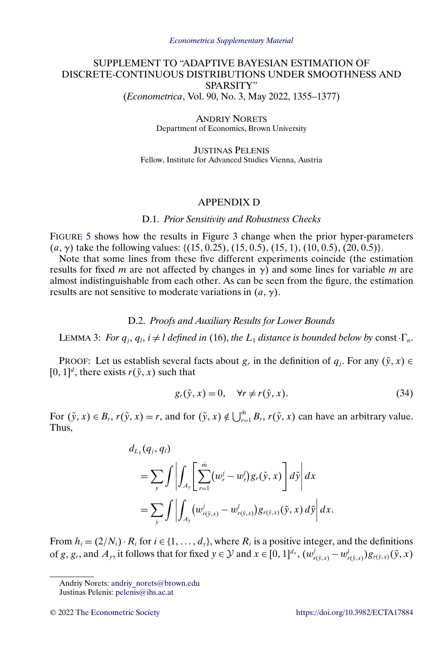# <span id="page-0-0"></span>SUPPLEMENT TO "ADAPTIVE BAYESIAN ESTIMATION OF DISCRETE-CONTINUOUS DISTRIBUTIONS UNDER SMOOTHNESS AND SPARSITY" (*Econometrica*, Vol. 90, No. 3, May 2022, 1355–1377)

ANDRIY NORETS Department of Economics, Brown University

JUSTINAS PELENIS Fellow, Institute for Advanced Studies Vienna, Austria

# APPENDIX D

### D.1. *Prior Sensitivity and Robustness Checks*

FIGURE [5](#page-1-0) shows how the results in Figure 3 change when the prior hyper-parameters (*a*,  $\gamma$ ) take the following values: {(15, 0.25), (15, 0.5), (15, 1), (10, 0.5), (20, 0.5)}.

Note that some lines from these five different experiments coincide (the estimation results for fixed m are not affected by changes in  $\gamma$ ) and some lines for variable m are almost indistinguishable from each other. As can be seen from the figure, the estimation results are not sensitive to moderate variations in  $(a, \gamma)$ .

#### D.2. *Proofs and Auxiliary Results for Lower Bounds*

LEMMA 3: For  $q_j, q_l, i \neq l$  defined in (16), the  $L_1$  distance is bounded below by const  $\Gamma_n$ .

PROOF: Let us establish several facts about  $g_r$  in the definition of  $q_j$ . For any  $(\tilde{y}, x) \in$  $[0, 1]^d$ , there exists  $r(\tilde{y}, x)$  such that

$$
g_r(\tilde{y}, x) = 0, \quad \forall r \neq r(\tilde{y}, x). \tag{34}
$$

For  $(\tilde{y}, x) \in B_r$ ,  $r(\tilde{y}, x) = r$ , and for  $(\tilde{y}, x) \notin \bigcup_{r=1}^{\tilde{m}} B_r$ ,  $r(\tilde{y}, x)$  can have an arbitrary value. Thus,

$$
d_{L_1}(q_j, q_l)
$$
  
=  $\sum_{y} \int \left| \int_{A_y} \left[ \sum_{r=1}^{\bar{m}} (w_r^j - w_r^j) g_r(\tilde{y}, x) \right] d\tilde{y} \right| dx$   
=  $\sum_{y} \int \left| \int_{A_y} (w_{r(\tilde{y}, x)}^j - w_{r(\tilde{y}, x)}^j) g_{r(\tilde{y}, x)}(\tilde{y}, x) d\tilde{y} \right| dx.$ 

From  $h_i = (2/N_i) \cdot R_i$  for  $i \in \{1, ..., d_y\}$ , where  $R_i$  is a positive integer, and the definitions of g, g<sub>r</sub>, and  $A_y$ , it follows that for fixed  $y \in \mathcal{Y}$  and  $x \in [0, 1]^{d_x}$ ,  $(w_{r(\tilde{y}, x)}^j - w_{r(\tilde{y}, x)}^j)g_{r(\tilde{y}, x)}(\tilde{y}, x)$ 

Andriy Norets: [andriy\\_norets@brown.edu](mailto:andriy_norets@brown.edu)

Justinas Pelenis: [pelenis@ihs.ac.at](mailto:pelenis@ihs.ac.at)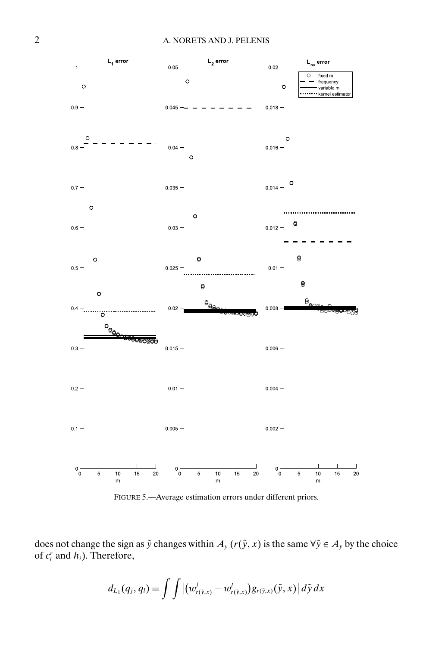<span id="page-1-0"></span>

FIGURE 5.—Average estimation errors under different priors.

does not change the sign as  $\tilde{y}$  changes within  $A_y(r(\tilde{y}, x))$  is the same  $\forall \tilde{y} \in A_y$  by the choice of  $c_i^r$  and  $h_i$ ). Therefore,

$$
d_{L_1}(q_j, q_l) = \int \int |(w_{r(\tilde{y},x)}^j - w_{r(\tilde{y},x)}^l) g_{r(\tilde{y},x)}(\tilde{y},x)| d\tilde{y} dx
$$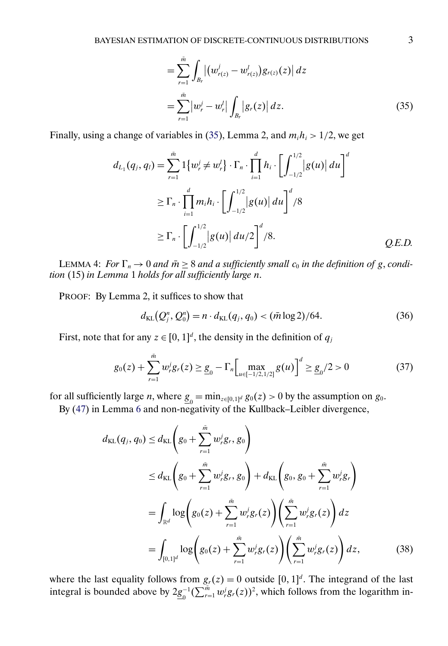$$
= \sum_{r=1}^{\tilde{m}} \int_{B_r} \left| \left( w_{r(z)}^j - w_{r(z)}^l \right) g_{r(z)}(z) \right| dz
$$
  

$$
= \sum_{r=1}^{\tilde{m}} \left| w_r^j - w_r^l \right| \int_{B_r} \left| g_r(z) \right| dz.
$$
 (35)

<span id="page-2-0"></span>Finally, using a change of variables in (35), Lemma 2, and  $m_i h_i > 1/2$ , we get

$$
d_{L_1}(q_j, q_l) = \sum_{r=1}^{\tilde{m}} 1\{w_r^j \neq w_r^l\} \cdot \Gamma_n \cdot \prod_{i=1}^d h_i \cdot \left[\int_{-1/2}^{1/2} |g(u)| du\right]^d
$$
  
\n
$$
\geq \Gamma_n \cdot \prod_{i=1}^d m_i h_i \cdot \left[\int_{-1/2}^{1/2} |g(u)| du\right]^d / 8
$$
  
\n
$$
\geq \Gamma_n \cdot \left[\int_{-1/2}^{1/2} |g(u)| du / 2\right]^d / 8.
$$
 Q.E.D.

LEMMA 4: *For*  $\Gamma_n \to 0$  *and*  $\bar{m} \geq 8$  *and a sufficiently small*  $c_0$  *in the definition of* g, *condition* (15) *in Lemma* 1 *holds for all sufficiently large* n.

PROOF: By Lemma 2, it suffices to show that

$$
d_{\text{KL}}(Q_j^n, Q_0^n) = n \cdot d_{\text{KL}}(q_j, q_0) < (\bar{m} \log 2) / 64. \tag{36}
$$

First, note that for any  $z \in [0, 1]^d$ , the density in the definition of  $q_j$ 

$$
g_0(z) + \sum_{r=1}^{\tilde{m}} w_r^j g_r(z) \ge \underline{g}_0 - \Gamma_n \Big[ \max_{u \in [-1/2, 1/2]} g(u) \Big]^d \ge \underline{g}_0/2 > 0 \tag{37}
$$

for all sufficiently large *n*, where  $\underline{g}_0 = \min_{z \in [0,1]^d} g_0(z) > 0$  by the assumption on  $g_0$ .

By [\(47\)](#page-5-0) in Lemma [6](#page-5-0) and non-negativity of the Kullback–Leibler divergence,

$$
d_{\text{KL}}(q_j, q_0) \leq d_{\text{KL}}\left(g_0 + \sum_{r=1}^{\tilde{m}} w_r^j g_r, g_0\right)
$$
  
\n
$$
\leq d_{\text{KL}}\left(g_0 + \sum_{r=1}^{\tilde{m}} w_r^j g_r, g_0\right) + d_{\text{KL}}\left(g_0, g_0 + \sum_{r=1}^{\tilde{m}} w_r^j g_r\right)
$$
  
\n
$$
= \int_{\mathbb{R}^d} \log\left(g_0(z) + \sum_{r=1}^{\tilde{m}} w_r^j g_r(z)\right) \left(\sum_{r=1}^{\tilde{m}} w_r^j g_r(z)\right) dz
$$
  
\n
$$
= \int_{[0,1]^d} \log\left(g_0(z) + \sum_{r=1}^{\tilde{m}} w_r^j g_r(z)\right) \left(\sum_{r=1}^{\tilde{m}} w_r^j g_r(z)\right) dz,
$$
 (38)

where the last equality follows from  $g_r(z) = 0$  outside  $[0, 1]^d$ . The integrand of the last integral is bounded above by  $2\underline{g}_0^{-1}(\sum_{r=1}^{\tilde{m}} w_r^j g_r(z))^2$ , which follows from the logarithm in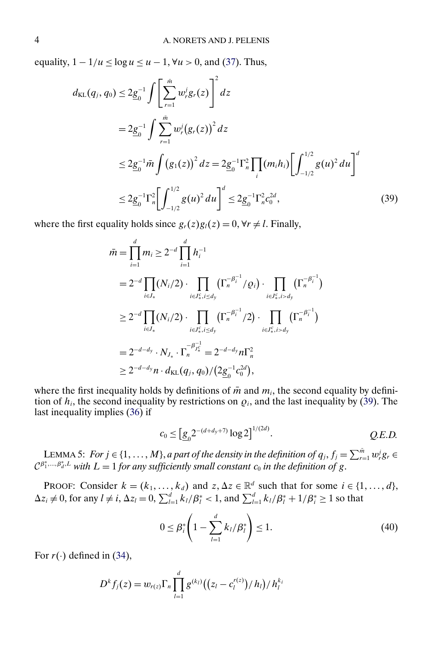<span id="page-3-0"></span>equality,  $1 - 1/u \le \log u \le u - 1$ ,  $\forall u > 0$ , and [\(37\)](#page-2-0). Thus,

$$
d_{\text{KL}}(q_j, q_0) \le 2\underline{g}_0^{-1} \int \left[ \sum_{r=1}^{\bar{m}} w_r^j g_r(z) \right]^2 dz
$$
  
\n
$$
= 2\underline{g}_0^{-1} \int \sum_{r=1}^{\bar{m}} w_r^j (g_r(z))^2 dz
$$
  
\n
$$
\le 2\underline{g}_0^{-1} \bar{m} \int (g_1(z))^2 dz = 2\underline{g}_0^{-1} \Gamma_n^2 \prod_i (m_i h_i) \left[ \int_{-1/2}^{1/2} g(u)^2 du \right]^d
$$
  
\n
$$
\le 2\underline{g}_0^{-1} \Gamma_n^2 \left[ \int_{-1/2}^{1/2} g(u)^2 du \right]^d \le 2\underline{g}_0^{-1} \Gamma_n^2 c_0^{2d}, \tag{39}
$$

where the first equality holds since  $g_r(z)g_l(z) = 0$ ,  $\forall r \neq l$ . Finally,

$$
\bar{m} = \prod_{i=1}^{d} m_i \ge 2^{-d} \prod_{i=1}^{d} h_i^{-1}
$$
\n
$$
= 2^{-d} \prod_{i \in J_*} (N_i/2) \cdot \prod_{i \in J_*^c, i \le d_y} (\Gamma_n^{-\beta_i^{-1}}/Q_i) \cdot \prod_{i \in J_*^c, i > d_y} (\Gamma_n^{-\beta_i^{-1}})
$$
\n
$$
\ge 2^{-d} \prod_{i \in J_*} (N_i/2) \cdot \prod_{i \in J_*^c, i \le d_y} (\Gamma_n^{-\beta_i^{-1}}/2) \cdot \prod_{i \in J_*^c, i > d_y} (\Gamma_n^{-\beta_i^{-1}})
$$
\n
$$
= 2^{-d - d_y} \cdot N_{J_*} \cdot \Gamma_n^{-\beta_{J_*^c}^{-1}} = 2^{-d - d_y} n \Gamma_n^2
$$
\n
$$
\ge 2^{-d - d_y} n \cdot d_{\text{KL}}(q_j, q_0) / (2 \underline{g}_0^{-1} c_0^{2d}),
$$

where the first inequality holds by definitions of  $\bar{m}$  and  $m_i$ , the second equality by definition of  $h_i$ , the second inequality by restrictions on  $\rho_i$ , and the last inequality by (39). The last inequality implies [\(36\)](#page-2-0) if

$$
c_0 \le \left[ \underline{g}_0 2^{-(d+d_y+7)} \log 2 \right]^{1/(2d)}.
$$
 Q.E.D.

LEMMA 5: For  $j \in \{1, ..., M\}$ , *a part of the density in the definition of*  $q_j$ ,  $f_j = \sum_{r=1}^{\tilde{m}} w_j^j g_r \in$  $\mathcal{C}^{\beta_1^*,...,\beta_d^*,L}$  with  $L=1$  for any sufficiently small constant  $c_0$  in the definition of g.

PROOF: Consider  $k = (k_1, \ldots, k_d)$  and  $z, \Delta z \in \mathbb{R}^d$  such that for some  $i \in \{1, \ldots, d\}$ ,  $\Delta z_i \neq 0$ , for any  $l \neq i$ ,  $\Delta z_l = 0$ ,  $\sum_{l=1}^d k_l/\beta_l^* < 1$ , and  $\sum_{l=1}^d k_l/\beta_l^* + 1/\beta_i^* \geq 1$  so that

$$
0 \le \beta_i^* \left( 1 - \sum_{l=1}^d k_l / \beta_l^* \right) \le 1. \tag{40}
$$

For  $r(\cdot)$  defined in [\(34\)](#page-0-0),

$$
D^{k} f_{j}(z) = w_{r(z)} \Gamma_{n} \prod_{l=1}^{d} g^{(k_{l})} ((z_{l} - c_{l}^{r(z)}) / h_{l}) / h_{l}^{k_{l}}
$$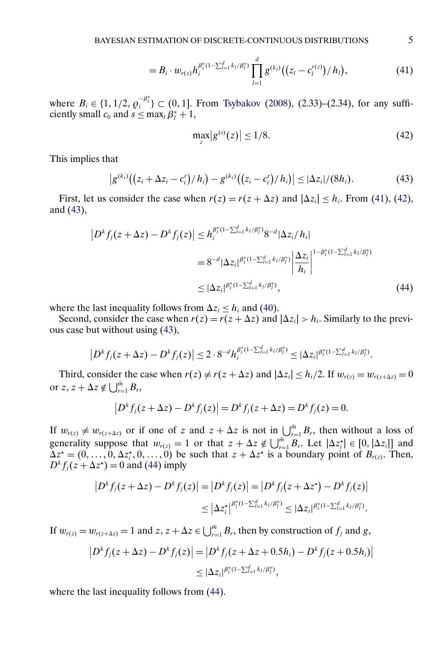$$
=B_i\cdot w_{r(z)}h_i^{\beta_i^*(1-\sum_{l=1}^d k_l/\beta_l^*)}\prod_{l=1}^d g^{(k_l)}((z_l-c_l^{r(z)})/h_l), \qquad (41)
$$

<span id="page-4-0"></span>where  $B_i \in \{1, 1/2, \rho_i^{-\beta_i^*}\} \subset (0, 1]$ . From [Tsybakov](#page-24-0) [\(2008\)](#page-24-0), (2.33)–(2.34), for any sufficiently small  $c_0$  and  $s \le \max_l \beta_l^* + 1$ ,

$$
\max_{z} |g^{(s)}(z)| \le 1/8. \tag{42}
$$

This implies that

$$
|g^{(k_i)}((z_i + \Delta z_i - c_i')/h_i) - g^{(k_i)}((z_i - c_i')/h_i)| \leq |\Delta z_i|/(8h_i). \tag{43}
$$

First, let us consider the case when  $r(z) = r(z + \Delta z)$  and  $|\Delta z_i| \le h_i$ . From (41), (42), and (43),

$$
\left| D^{k} f_{j}(z + \Delta z) - D^{k} f_{j}(z) \right| \leq h_{i}^{\beta_{i}^{*}(1 - \sum_{l=1}^{d} k_{l}/\beta_{l}^{*})} 8^{-d} |\Delta z_{i}/h_{i}|
$$
  

$$
= 8^{-d} |\Delta z_{i}|^{\beta_{i}^{*}(1 - \sum_{l=1}^{d} k_{l}/\beta_{l}^{*})} \left| \frac{\Delta z_{i}}{h_{i}} \right|^{1 - \beta_{i}^{*}(1 - \sum_{l=1}^{d} k_{l}/\beta_{l}^{*})}
$$
  

$$
\leq |\Delta z_{i}|^{\beta_{i}^{*}(1 - \sum_{l=1}^{d} k_{l}/\beta_{l}^{*})}, \qquad (44)
$$

where the last inequality follows from  $\Delta z_i \leq h_i$  and [\(40\)](#page-3-0).

Second, consider the case when  $r(z) = r(z + \Delta z)$  and  $|\Delta z_i| > h_i$ . Similarly to the previous case but without using (43),

$$
\left|D^{k}f_{j}(z+\Delta z)-D^{k}f_{j}(z)\right|\leq 2\cdot 8^{-d}h_{i}^{\beta_{i}^{*}(1-\sum_{l=1}^{d}k_{l}/\beta_{l}^{*})}\leq |\Delta z_{i}|^{\beta_{i}^{*}(1-\sum_{l=1}^{d}k_{l}/\beta_{l}^{*})}.
$$

Third, consider the case when  $r(z) \neq r(z + \Delta z)$  and  $|\Delta z_i| \leq h_i/2$ . If  $w_{r(z)} = w_{r(z + \Delta z)} = 0$ or  $z, z + \Delta z \notin \bigcup_{r=1}^{\bar{m}} B_r$ ,

$$
|D^{k} f_{j}(z + \Delta z) - D^{k} f_{j}(z)| = D^{k} f_{j}(z + \Delta z) = D^{k} f_{j}(z) = 0.
$$

If  $w_{r(z)} \neq w_{r(z+\Delta z)}$  or if one of z and  $z + \Delta z$  is not in  $\bigcup_{r=1}^{m} B_r$ , then without a loss of generality suppose that  $w_{r(z)} = 1$  or that  $z + \Delta z \notin \bigcup_{r=1}^{m} B_r$ . Let  $|\Delta z_i^*| \in [0, |\Delta z_i|]$  and  $\Delta z^* = (0, \ldots, 0, \Delta z_i^*, 0, \ldots, 0)$  be such that  $z + \Delta z^*$  is a boundary point of  $B_{r(z)}$ . Then,  $D^k f_j(z + \Delta z^*) = 0$  and (44) imply

$$
|D^{k} f_{j}(z + \Delta z) - D^{k} f_{j}(z)| = |D^{k} f_{j}(z)| = |D^{k} f_{j}(z + \Delta z^{\star}) - D^{k} f_{j}(z)|
$$
  

$$
\leq |\Delta z_{i}^{\star}|^{\beta_{i}^{*}(1 - \sum_{l=1}^{d} k_{l}/\beta_{l}^{*})} \leq |\Delta z_{i}|^{\beta_{i}^{*}(1 - \sum_{l=1}^{d} k_{l}/\beta_{l}^{*})}.
$$

If  $w_{r(z)} = w_{r(z+\Delta z)} = 1$  and  $z, z + \Delta z \in \bigcup_{r=1}^{\bar{m}} B_r$ , then by construction of  $f_j$  and  $g$ ,

$$
|D^k f_j(z + \Delta z) - D^k f_j(z)| = |D^k f_j(z + \Delta z + 0.5h_i) - D^k f_j(z + 0.5h_i)|
$$
  
\$\leq |\Delta z\_i|^{\beta\_i^\*(1 - \sum\_{l=1}^d k\_l/\beta\_l^\*)}\$,

where the last inequality follows from  $(44)$ .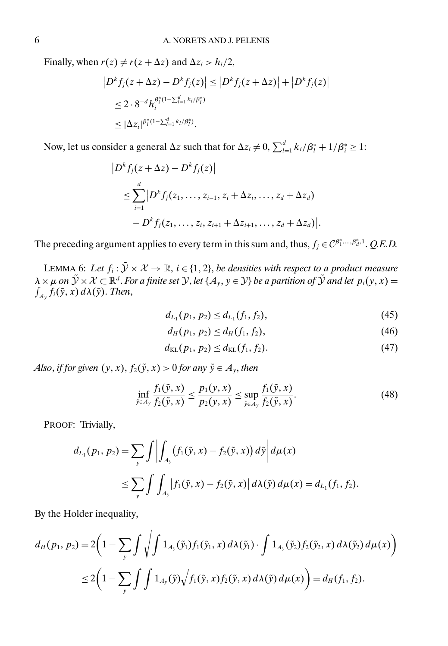<span id="page-5-0"></span>Finally, when  $r(z) \neq r(z + \Delta z)$  and  $\Delta z_i > h_i/2$ ,

$$
|D^k f_j(z + \Delta z) - D^k f_j(z)| \le |D^k f_j(z + \Delta z)| + |D^k f_j(z)|
$$
  
\n
$$
\le 2 \cdot 8^{-d} h_i^{\beta_i^*(1 - \sum_{l=1}^d k_l/\beta_l^*)}
$$
  
\n
$$
\le |\Delta z_i|^{\beta_i^*(1 - \sum_{l=1}^d k_l/\beta_l^*)}.
$$

Now, let us consider a general  $\Delta z$  such that for  $\Delta z_i \neq 0$ ,  $\sum_{l=1}^{d} k_l/\beta_l^* + 1/\beta_i^* \geq 1$ :

$$
|D^{k} f_{j}(z + \Delta z) - D^{k} f_{j}(z)|
$$
  
\n
$$
\leq \sum_{i=1}^{d} |D^{k} f_{j}(z_{1},..., z_{i-1}, z_{i} + \Delta z_{i},..., z_{d} + \Delta z_{d})
$$
  
\n
$$
- D^{k} f_{j}(z_{1},..., z_{i}, z_{i+1} + \Delta z_{i+1},..., z_{d} + \Delta z_{d})|.
$$

The preceding argument applies to every term in this sum and, thus,  $f_j \in C^{\beta_1^*, \dots, \beta_d^*, 1}$ . *Q.E.D.* 

LEMMA 6: Let  $f_i : \tilde{Y} \times \mathcal{X} \to \mathbb{R}$ ,  $i \in \{1, 2\}$ , be densities with respect to a product measure  $\lambda \times \mu$  *on*  $\tilde{\mathcal{Y}} \times \mathcal{X} \subset \mathbb{R}^d$ . *For a finite set*  $\mathcal{Y}$ *, let*  $\{A_y, y \in \mathcal{Y}\}$  *be a partition of*  $\tilde{\mathcal{Y}}$  *and let*  $p_i(y, x) =$  $\int_{A_{\mathbf{y}}} f_i(\tilde{\mathbf{y}},x) \, d\lambda(\tilde{\mathbf{y}}).$  *Then,* 

$$
d_{L_1}(p_1, p_2) \leq d_{L_1}(f_1, f_2),\tag{45}
$$

$$
d_H(p_1, p_2) \le d_H(f_1, f_2), \tag{46}
$$

$$
d_{\text{KL}}(p_1, p_2) \le d_{\text{KL}}(f_1, f_2). \tag{47}
$$

*Also, if for given*  $(y, x)$ *, f*<sub>2</sub> $(\tilde{y}, x) > 0$  *for any*  $\tilde{y} \in A_y$ *, then* 

$$
\inf_{\tilde{y}\in A_{\tilde{y}}}\frac{f_1(\tilde{y},x)}{f_2(\tilde{y},x)} \le \frac{p_1(y,x)}{p_2(y,x)} \le \sup_{\tilde{y}\in A_{\tilde{y}}}\frac{f_1(\tilde{y},x)}{f_2(\tilde{y},x)}.
$$
(48)

PROOF: Trivially,

$$
d_{L_1}(p_1, p_2) = \sum_{y} \int \left| \int_{A_y} (f_1(\tilde{y}, x) - f_2(\tilde{y}, x)) d\tilde{y} \right| d\mu(x)
$$
  
 
$$
\leq \sum_{y} \int \int_{A_y} |f_1(\tilde{y}, x) - f_2(\tilde{y}, x)| d\lambda(\tilde{y}) d\mu(x) = d_{L_1}(f_1, f_2).
$$

By the Holder inequality,

$$
d_H(p_1, p_2) = 2\left(1 - \sum_{y} \int \sqrt{\int 1_{A_y}(\tilde{y}_1) f_1(\tilde{y}_1, x) d\lambda(\tilde{y}_1) \cdot \int 1_{A_y}(\tilde{y}_2) f_2(\tilde{y}_2, x) d\lambda(\tilde{y}_2)} d\mu(x)\right)
$$
  

$$
\leq 2\left(1 - \sum_{y} \int \int 1_{A_y}(\tilde{y}) \sqrt{f_1(\tilde{y}, x) f_2(\tilde{y}, x)} d\lambda(\tilde{y}) d\mu(x)\right) = d_H(f_1, f_2).
$$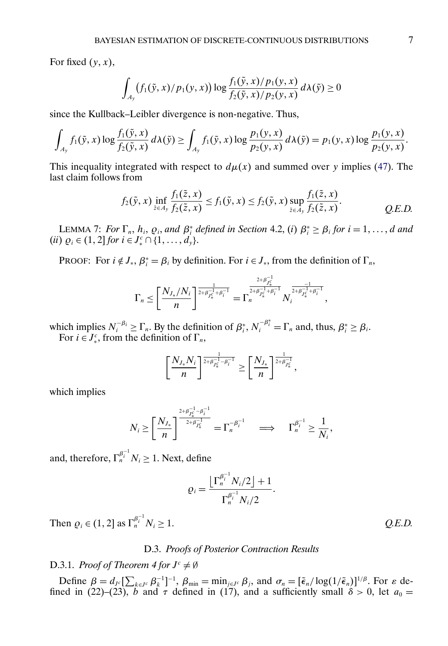For fixed  $(y, x)$ ,

$$
\int_{A_{\mathcal{Y}}}\big(f_{1}(\tilde{y}, x)/p_{1}(y, x)\big) \log \frac{f_{1}(\tilde{y}, x)/p_{1}(y, x)}{f_{2}(\tilde{y}, x)/p_{2}(y, x)} d\lambda(\tilde{y}) \geq 0
$$

since the Kullback–Leibler divergence is non-negative. Thus,

$$
\int_{A_y} f_1(\tilde{y}, x) \log \frac{f_1(\tilde{y}, x)}{f_2(\tilde{y}, x)} d\lambda(\tilde{y}) \ge \int_{A_y} f_1(\tilde{y}, x) \log \frac{p_1(y, x)}{p_2(y, x)} d\lambda(\tilde{y}) = p_1(y, x) \log \frac{p_1(y, x)}{p_2(y, x)}.
$$

This inequality integrated with respect to  $d\mu(x)$  and summed over y implies [\(47\)](#page-5-0). The last claim follows from

$$
f_2(\tilde{y},x) \inf_{\tilde{z}\in A_y} \frac{f_1(\tilde{z},x)}{f_2(\tilde{z},x)} \le f_1(\tilde{y},x) \le f_2(\tilde{y},x) \sup_{\tilde{z}\in A_y} \frac{f_1(\tilde{z},x)}{f_2(\tilde{z},x)}.
$$
 Q.E.D.

LEMMA 7: *For*  $\Gamma_n$ ,  $h_i$ ,  $\varrho_i$ , and  $\beta_i^*$  defined in Section 4.2, (*i*)  $\beta_i^* \geq \beta_i$  for  $i = 1, ..., d$  and  $(ii) \varrho_i \in (1, 2] \text{ for } i \in J_*^c \cap \{1, \ldots, d_y\}.$ 

PROOF: For  $i \notin J_*$ ,  $\beta_i^* = \beta_i$  by definition. For  $i \in J_*$ , from the definition of  $\Gamma_n$ ,

$$
\Gamma_n \leq \left[ \frac{N_{J_*}/N_i}{n} \right]^{\frac{1}{2+\beta_{J_*^c}^{-1}+\beta_i^{-1}}} = \Gamma_n^{\frac{2+\beta_{J_*^c}^{-1}}{2+\beta_{J_*^c}^{-1}+\beta_i^{-1}}} N_i^{\frac{-1}{2+\beta_{J_*^c}^{-1}+\beta_i^{-1}}},
$$

which implies  $N_i^{-\beta_i} \ge \Gamma_n$ . By the definition of  $\beta_i^*$ ,  $N_i^{-\beta_i^*} = \Gamma_n$  and, thus,  $\beta_i^* \ge \beta_i$ . For  $i \in J_*^c$ , from the definition of  $\Gamma_n$ ,

$$
\left[\frac{N_{J_*}N_i}{n}\right]^{\frac{1}{2+\beta_{J_*^c}^{-1}-\beta_i^{-1}}} \geq \left[\frac{N_{J_*}}{n}\right]^{\frac{1}{2+\beta_{J_*^c}^{-1}}},
$$

which implies

$$
N_i \ge \left[\frac{N_{J_*}}{n}\right]^{\frac{2+\beta_{J_*^c}^{-1}-\beta_i^{-1}}{2+\beta_{J_*^c}^{-1}}} = \Gamma_n^{-\beta_i^{-1}} \quad \Longrightarrow \quad \Gamma_n^{\beta_i^{-1}} \ge \frac{1}{N_i},
$$

and, therefore,  $\Gamma_n^{\beta_i^{-1}} N_i \geq 1$ . Next, define

$$
\varrho_i = \frac{\left[\Gamma_n^{\beta_i^{-1}} N_i/2\right] + 1}{\Gamma_n^{\beta_i^{-1}} N_i/2}
$$

.

Then  $\varrho_i \in (1, 2]$  as  $\Gamma_n^{\beta_i^{-1}} N_i \ge 1$ .  $Q.E.D.$ 

## D.3. *Proofs of Posterior Contraction Results*

# D.3.1. *Proof of Theorem 4 for*  $J^c \neq \emptyset$

Define  $\beta = d_{\mathcal{I}^c}[\sum_{k \in \mathcal{I}^c} \beta_k^{-1}]^{-1}$ ,  $\beta_{\min} = \min_{j \in \mathcal{I}^c} \beta_j$ , and  $\sigma_n = [\tilde{\epsilon}_n / \log(1/\tilde{\epsilon}_n)]^{1/\beta}$ . For  $\varepsilon$  defined in (22)–(23), b and  $\tau$  defined in (17), and a sufficiently small  $\delta > 0$ , let  $a_0 =$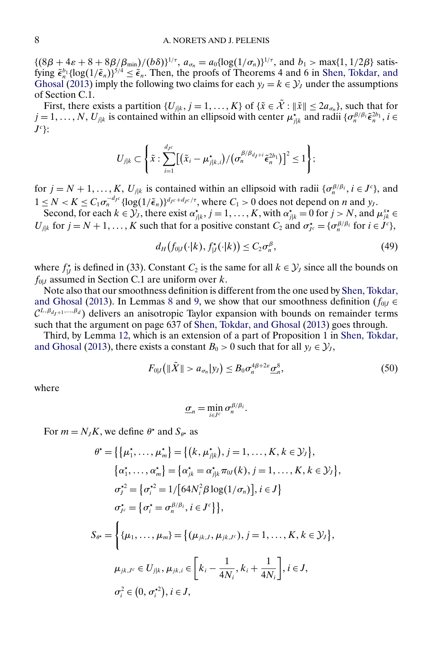<span id="page-7-0"></span> $\{(8\beta + 4\varepsilon + 8 + 8\beta/\beta_{\min})/(b\delta)\}^{1/\tau}, a_{\sigma_n} = a_0 \{\log(1/\sigma_n)\}^{1/\tau}$ , and  $b_1 > \max\{1, 1/2\beta\}$  satisfying  $\tilde{\epsilon}_n^{b_1} {\log(1/\tilde{\epsilon}_n)}^{5/4} \leq \tilde{\epsilon}_n$ . Then, the proofs of Theorems 4 and 6 in [Shen, Tokdar, and](#page-24-0) [Ghosal](#page-24-0) [\(2013\)](#page-24-0) imply the following two claims for each  $y_1 = k \in \mathcal{Y}_1$  under the assumptions of Section C.1.

First, there exists a partition  $\{U_{j|k}, j = 1, ..., K\}$  of  $\{\tilde{x} \in \mathcal{X} : \|\tilde{x}\| \leq 2a_{\sigma_n}\}\)$ , such that for  $j = 1, \ldots, N, U_{j|k}$  is contained within an ellipsoid with center  $\mu_{j|k}^{\star}$  and radii  $\{\sigma_n^{\beta/\beta_i} \tilde{\epsilon}_n^{2b_1}, i \in I\}$  $J^c$  }:

$$
U_{j|k} \subset \left\{\tilde{x} : \sum_{i=1}^{d_{J}c} \left[ \left(\tilde{x}_{i} - \mu_{j|k,i}^{\star} \right) / \left(\sigma_{n}^{\beta/\beta_{d_{J}+i}} \tilde{\epsilon}_{n}^{2b_{1}}\right) \right]^{2} \leq 1\right\};
$$

for  $j = N + 1, \ldots, K, U_{j|k}$  is contained within an ellipsoid with radii  $\{\sigma_n^{\beta/\beta_i}, i \in J^c\}$ , and  $1 \leq N < K \leq C_1 \sigma_n^{-d_{Jc}} \{ \log(1/\tilde{\epsilon}_n) \}^{d_{Jc} + d_{Jc}/\tau}$ , where  $C_1 > 0$  does not depend on *n* and *y<sub>1</sub>*.

Second, for each  $k \in \mathcal{Y}_j$ , there exist  $\alpha_{j|k}^*$ ,  $j = 1, ..., K$ , with  $\alpha_{j|k}^* = 0$  for  $j > N$ , and  $\mu_{jk}^{x*} \in$  $U_{j|k}$  for  $j = N + 1, ..., K$  such that for a positive constant  $C_2$  and  $\sigma_{j_c}^* = {\sigma_n^{\beta}}/{\beta_i}$  for  $i \in J^c$ ,

$$
d_H(f_{0|J}(\cdot|k), f_{|J}^*(\cdot|k)) \le C_2 \sigma_n^{\beta},\tag{49}
$$

where  $f_{|J}^*$  is defined in (33). Constant  $C_2$  is the same for all  $k \in \mathcal{Y}_J$  since all the bounds on  $f_{0|J}$  assumed in Section C.1 are uniform over k.

Note also that our smoothness definition is different from the one used by [Shen, Tokdar,](#page-24-0) [and Ghosal](#page-24-0) [\(2013\)](#page-24-0). In Lemmas [8](#page-11-0) and [9,](#page-12-0) we show that our smoothness definition ( $f_{0|J} \in$  $\mathcal{C}^{L,\beta_{d_1+1},\dots,\beta_d}$ ) delivers an anisotropic Taylor expansion with bounds on remainder terms such that the argument on page 637 of [Shen, Tokdar, and Ghosal](#page-24-0) [\(2013\)](#page-24-0) goes through.

Third, by Lemma [12,](#page-13-0) which is an extension of a part of Proposition 1 in [Shen, Tokdar,](#page-24-0) [and Ghosal](#page-24-0) [\(2013\)](#page-24-0), there exists a constant  $B_0 > 0$  such that for all  $y_J \in \mathcal{Y}_J$ ,

$$
F_{0|J}\left(\|\tilde{X}\|>a_{\sigma_n}|y_J\right)\leq B_0\sigma_n^{4\beta+2\varepsilon}\underline{\sigma}_n^8,\tag{50}
$$

where

$$
\underline{\sigma}_n = \min_{i \in J^c} \sigma_n^{\beta/\beta_i}.
$$

For  $m = N_J K$ , we define  $\theta^*$  and  $S_{\theta^*}$  as

$$
\theta^* = \{ \{\mu_1^*, \dots, \mu_m^* \} = \{ (k, \mu_{j|k}^*), j = 1, \dots, K, k \in \mathcal{Y}_J \},
$$
  
\n
$$
\{\alpha_1^*, \dots, \alpha_m^* \} = \{\alpha_{jk}^* = \alpha_{j|k}^* \pi_{0J}(k), j = 1, \dots, K, k \in \mathcal{Y}_J \},
$$
  
\n
$$
\sigma_j^{\star 2} = \{\sigma_i^{\star 2} = 1/[\frac{64N_i^2 \beta \log(1/\sigma_n)}{1}, i \in J \}
$$
  
\n
$$
\sigma_{j^c}^{\star} = \{\sigma_i^{\star} = \sigma_n^{\beta/\beta_i}, i \in J^c \} \},
$$
  
\n
$$
S_{\theta^*} = \{\{\mu_1, \dots, \mu_m\} = \{(\mu_{jk,J}, \mu_{jk,J^c}), j = 1, \dots, K, k \in \mathcal{Y}_J \},
$$
  
\n
$$
\mu_{jk,J^c} \in U_{j|k}, \mu_{jk,i} \in \left[k_i - \frac{1}{4N_i}, k_i + \frac{1}{4N_i}\right], i \in J,
$$
  
\n
$$
\sigma_i^2 \in (0, \sigma_i^{\star 2}), i \in J,
$$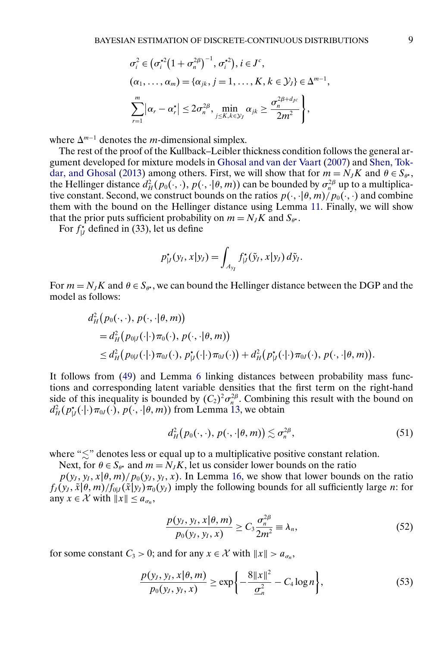<span id="page-8-0"></span>
$$
\sigma_i^2 \in (\sigma_i^{*2} (1 + \sigma_n^{2\beta})^{-1}, \sigma_i^{*2}), i \in J^c,
$$
  
\n
$$
(\alpha_1, \ldots, \alpha_m) = {\alpha_{jk}, j = 1, \ldots, K, k \in \mathcal{Y}_J} \in \Delta^{m-1},
$$
  
\n
$$
\sum_{r=1}^m |\alpha_r - \alpha_r^{\star}| \leq 2\sigma_n^{2\beta}, \min_{j \leq K, k \in \mathcal{Y}_J} \alpha_{jk} \geq \frac{\sigma_n^{2\beta + d_{J^c}}}{2m^2},
$$

where  $\Delta^{m-1}$  denotes the *m*-dimensional simplex.

The rest of the proof of the Kullback–Leibler thickness condition follows the general argument developed for mixture models in [Ghosal and van der Vaart](#page-24-0) [\(2007\)](#page-24-0) and [Shen, Tok](#page-24-0)[dar, and Ghosal](#page-24-0) [\(2013\)](#page-24-0) among others. First, we will show that for  $m = N_J K$  and  $\theta \in S_{\theta^*}$ , the Hellinger distance  $d_H^2(p_0(\cdot, \cdot), p(\cdot, \cdot | \theta, m))$  can be bounded by  $\sigma_n^{2\beta}$  up to a multiplicative constant. Second, we construct bounds on the ratios  $p(\cdot, |\theta, m)/p_0(\cdot, \cdot)$  and combine them with the bound on the Hellinger distance using Lemma [11.](#page-13-0) Finally, we will show that the prior puts sufficient probability on  $m = N_J K$  and  $S_{\theta^*}$ .

For  $f_{|J}^*$  defined in (33), let us define

$$
p_{|J}^{\star}(y_I, x|y_J) = \int_{A_{y_I}} f_{|J}^{\star}(\tilde{y}_I, x|y_J) d\tilde{y}_I.
$$

For  $m = N_J K$  and  $\theta \in S_{\theta^*}$ , we can bound the Hellinger distance between the DGP and the model as follows:

$$
d_H^2(p_0(\cdot,\cdot),p(\cdot,\cdot|\theta,m))
$$
  
=  $d_H^2(p_{0|J}(\cdot|\cdot)\pi_0(\cdot),p(\cdot,\cdot|\theta,m))$   

$$
\leq d_H^2(p_{0|J}(\cdot|\cdot)\pi_{0J}(\cdot),p_{|J}^{\star}(\cdot|\cdot)\pi_{0J}(\cdot))+d_H^2(p_{|J}^{\star}(\cdot|\cdot)\pi_{0J}(\cdot),p(\cdot,\cdot|\theta,m)).
$$

It follows from [\(49\)](#page-7-0) and Lemma [6](#page-5-0) linking distances between probability mass functions and corresponding latent variable densities that the first term on the right-hand side of this inequality is bounded by  $(C_2)^2 \sigma_n^{2\beta}$ . Combining this result with the bound on  $d_H^2(p_{|J}^{\star}(\cdot|\cdot)\pi_{0J}(\cdot), p(\cdot, \cdot|\theta, m))$  from Lemma [13,](#page-14-0) we obtain

$$
d_H^2(p_0(\cdot,\cdot),\,p(\cdot,\cdot|\theta,m))\lesssim \sigma_n^{2\beta},\qquad(51)
$$

where " $\lesssim$ " denotes less or equal up to a multiplicative positive constant relation.

Next, for  $\theta \in S_{\theta^*}$  and  $m = N_J K$ , let us consider lower bounds on the ratio

 $p(y_J, y_I, x | \theta, m) / p_0(y_J, y_I, x)$ . In Lemma [16,](#page-17-0) we show that lower bounds on the ratio  $f_J(y_J, \tilde{x} | \theta, m) / f_{0|J}(\tilde{x}|y_J) \pi_0(y_J)$  imply the following bounds for all sufficiently large *n*: for any  $x \in \mathcal{X}$  with  $||x|| \le a_{\sigma_n}$ ,

$$
\frac{p(y_I, y_I, x | \theta, m)}{p_0(y_I, y_I, x)} \ge C_3 \frac{\sigma_n^{2\beta}}{2m^2} \equiv \lambda_n,
$$
\n(52)

for some constant  $C_3 > 0$ ; and for any  $x \in \mathcal{X}$  with  $||x|| > a_{\sigma_n}$ ,

$$
\frac{p(y_I, y_I, x | \theta, m)}{p_0(y_I, y_I, x)} \ge \exp\left\{-\frac{8\|x\|^2}{\underline{\sigma}_n^2} - C_4 \log n\right\},\tag{53}
$$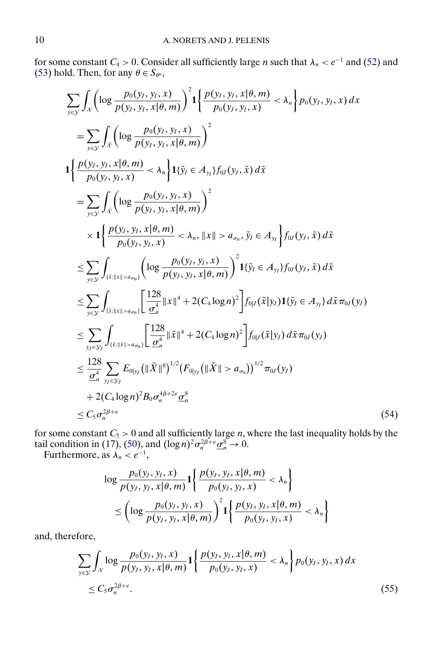<span id="page-9-0"></span>for some constant  $C_4 > 0$ . Consider all sufficiently large *n* such that  $\lambda_n < e^{-1}$  and [\(52\)](#page-8-0) and [\(53\)](#page-8-0) hold. Then, for any  $\theta \in S_{\theta^*},$ 

$$
\sum_{y \in \mathcal{Y}} \int_{\mathcal{X}} \left( \log \frac{p_0(y_j, y_j, x)}{p(y_j, y_j, x | \theta, m)} \right)^2 \mathbf{1} \left\{ \frac{p(y_j, y_j, x | \theta, m)}{p_0(y_j, y_j, x)} < \lambda_n \right\} p_0(y_j, y_j, x) dx
$$
\n
$$
= \sum_{y \in \mathcal{Y}} \int_{\tilde{x}} \left( \log \frac{p_0(y_j, y_j, x)}{p(y_j, y_j, x | \theta, m)} \right)^2
$$
\n
$$
\mathbf{1} \left\{ \frac{p(y_j, y_j, x | \theta, m)}{p_0(y_j, y_j, x)} < \lambda_n \right\} \mathbf{1} \left\{ \tilde{y}_l \in A_{y_l} \right\} f_0(y_j, \tilde{x}) d\tilde{x}
$$
\n
$$
= \sum_{y \in \mathcal{Y}} \int_{\tilde{x}} \left( \log \frac{p_0(y_j, y_j, x)}{p(y_j, y_j, x | \theta, m)} \right)^2
$$
\n
$$
\times \mathbf{1} \left\{ \frac{p(y_j, y_j, x | \theta, m)}{p_0(y_j, y_j, x)} < \lambda_n, ||x|| > a_m, \tilde{y}_l \in A_{y_l} \right\} f_0(y_j, \tilde{x}) d\tilde{x}
$$
\n
$$
\leq \sum_{y \in \mathcal{Y}} \int_{\{\tilde{x} : ||x|| > a_{m}\}} \left( \log \frac{p_0(y_j, y_j, x)}{p(y_j, y_j, x | \theta, m)} \right)^2 \mathbf{1} \{\tilde{y}_l \in A_{y_l}\} f_0(y_j, \tilde{x}) d\tilde{x}
$$
\n
$$
\leq \sum_{y \in \mathcal{Y}} \int_{\{\tilde{x} : ||x|| > a_{m}\}} \left[ \frac{128}{\frac{\sigma^4}{n}} ||x||^4 + 2(C_4 \log n)^2 \right] f_{0|J}(\tilde{x}|y_J) \mathbf{1} \{\tilde{y}_l \in A_{y_l}\} d\tilde{x} \pi_0(y_J)
$$
\n
$$
\leq \sum_{y \in \mathcal{Y}} \int_{\{\tilde{x} : ||\tilde{x}|| > a_{m}\}} \left[ \frac{128}{\frac{\
$$

for some constant  $C_5 > 0$  and all sufficiently large *n*, where the last inequality holds by the tail condition in (17), [\(50\)](#page-7-0), and  $(\log n)^2 \sigma_n^{2\beta+\varepsilon} \underline{\sigma}_n^8 \to 0$ .

Furthermore, as  $\lambda_n < e^{-1}$ ,

$$
\log \frac{p_0(y_I, y_I, x)}{p(y_I, y_I, x | \theta, m)} \mathbf{1} \left\{ \frac{p(y_I, y_I, x | \theta, m)}{p_0(y_I, y_I, x)} < \lambda_n \right\}
$$
  
 
$$
\leq \left( \log \frac{p_0(y_I, y_I, x)}{p(y_I, y_I, x | \theta, m)} \right)^2 \mathbf{1} \left\{ \frac{p(y_I, y_I, x | \theta, m)}{p_0(y_I, y_I, x)} < \lambda_n \right\}
$$

and, therefore,

$$
\sum_{y \in \mathcal{Y}} \int_{\mathcal{X}} \log \frac{p_0(y_J, y_I, x)}{p(y_J, y_I, x | \theta, m)} \mathbf{1} \left\{ \frac{p(y_J, y_I, x | \theta, m)}{p_0(y_J, y_I, x)} < \lambda_n \right\} p_0(y_J, y_I, x) dx
$$
  
\$\leq C\_5 \sigma\_n^{2\beta + \varepsilon}\$. (55)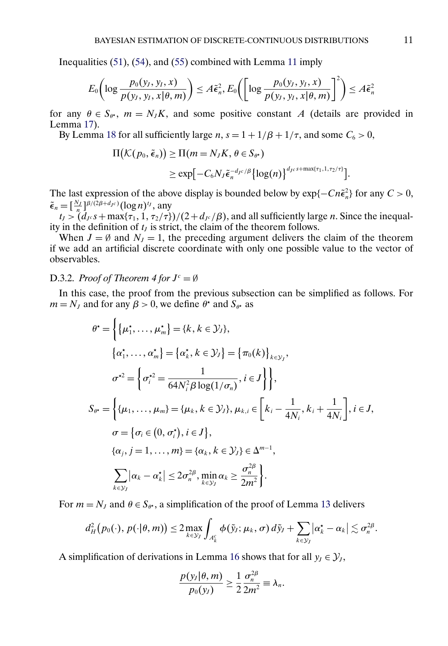Inequalities [\(51\)](#page-8-0), [\(54\)](#page-9-0), and [\(55\)](#page-9-0) combined with Lemma [11](#page-13-0) imply

$$
E_0\bigg(\log\frac{p_0(y_J, y_I, x)}{p(y_J, y_I, x | \theta, m)}\bigg) \leq A\tilde{\epsilon}_n^2, E_0\bigg(\bigg[\log\frac{p_0(y_J, y_I, x)}{p(y_J, y_I, x | \theta, m)}\bigg]^2\bigg) \leq A\tilde{\epsilon}_n^2
$$

for any  $\theta \in S_{\theta^*}$ ,  $m = N_J K$ , and some positive constant A (details are provided in Lemma [17\)](#page-20-0).

By Lemma [18](#page-21-0) for all sufficiently large  $n$ ,  $s = 1 + 1/\beta + 1/\tau$ , and some  $C_6 > 0$ ,

$$
\Pi(\mathcal{K}(p_0, \tilde{\epsilon}_n)) \ge \Pi(m = N_J K, \theta \in S_{\theta^*})
$$
  
 
$$
\ge \exp[-C_6 N_J \tilde{\epsilon}_n^{-d_{J^c}/\beta} {\log(n)}^{{d_{J^c} s + \max\{\tau_1, 1, \tau_2/\tau\}} }].
$$

The last expression of the above display is bounded below by  $\exp{-Cn\tilde{\epsilon}_n^2}$  for any  $C > 0$ ,  $\tilde{\epsilon}_n = \left[\frac{N_J}{n}\right]^{\beta/(2\beta+d_{Jc})} (\log n)^{t_J}$ , any

 $t_J > (d_{J^c} s + \max\{\tau_1, 1, \tau_2/\tau\})/(2 + d_{J^c}/\beta)$ , and all sufficiently large *n*. Since the inequality in the definition of  $t<sub>J</sub>$  is strict, the claim of the theorem follows.

When  $J = \emptyset$  and  $N_J = 1$ , the preceding argument delivers the claim of the theorem if we add an artificial discrete coordinate with only one possible value to the vector of observables.

## D.3.2. *Proof of Theorem 4 for*  $J<sup>c</sup> = \emptyset$

In this case, the proof from the previous subsection can be simplified as follows. For  $m = N<sub>J</sub>$  and for any  $\beta > 0$ , we define  $\theta^*$  and  $S_{\theta^*}$  as

$$
\theta^* = \left\{ \{\mu_1^*, \dots, \mu_m^* \} = \{k, k \in \mathcal{Y}_j \}, \right\}\n\{\alpha_1^*, \dots, \alpha_m^* \} = \{\alpha_k^*, k \in \mathcal{Y}_j\} = \{\pi_0(k)\}_{k \in \mathcal{Y}_j}, \n\sigma^{*2} = \left\{ \sigma_i^{*2} = \frac{1}{64N_i^2 \beta \log(1/\sigma_n)}, i \in J \right\},\nS_{\theta^*} = \left\{ \{\mu_1, \dots, \mu_m\} = \{\mu_k, k \in \mathcal{Y}_j\}, \mu_{k,i} \in \left[k_i - \frac{1}{4N_i}, k_i + \frac{1}{4N_i}\right], i \in J, \n\sigma = \{\sigma_i \in (0, \sigma_i^*), i \in J\},\n\{\alpha_j, j = 1, \dots, m\} = \{\alpha_k, k \in \mathcal{Y}_j\} \in \Delta^{m-1},\n\sum_{k \in \mathcal{Y}_j} |\alpha_k - \alpha_k^*| \le 2\sigma_n^{2\beta}, \min_{k \in \mathcal{Y}_j} \alpha_k \ge \frac{\sigma_n^{2\beta}}{2m^2}.
$$

For  $m = N_J$  and  $\theta \in S_{\theta^*}$ , a simplification of the proof of Lemma [13](#page-14-0) delivers

$$
d_H^2(p_0(\cdot),\,p(\cdot|\theta,m))\leq 2\max_{k\in\mathcal{Y}_J}\int_{A_k^c}\phi(\tilde{y}_J;\,\mu_k,\,\sigma)\,d\tilde{y}_J+\sum_{k\in\mathcal{Y}_J}\big|\alpha_k^\star-\alpha_k\big|\lesssim \sigma_n^{2\beta}.
$$

A simplification of derivations in Lemma [16](#page-17-0) shows that for all  $y_J \in \mathcal{Y}_J$ ,

$$
\frac{p(y_I|\theta,m)}{p_0(y_I)}\geq \frac{1}{2}\frac{\sigma_n^{2\beta}}{2m^2}\equiv \lambda_n.
$$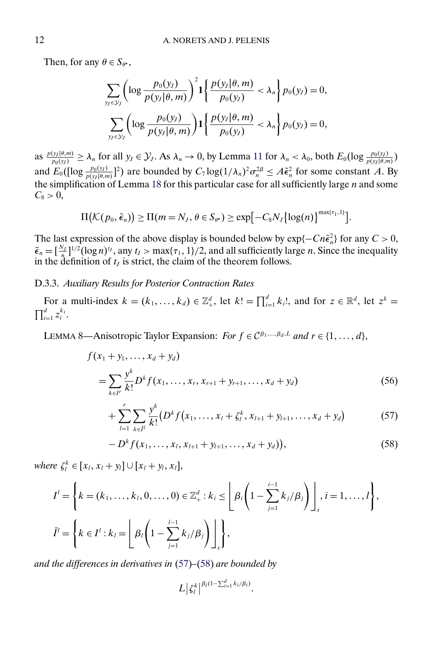<span id="page-11-0"></span>Then, for any  $\theta \in S_{\theta^*}$ ,

$$
\sum_{y_J \in \mathcal{Y}_J} \left( \log \frac{p_0(y_J)}{p(y_J | \theta, m)} \right)^2 \mathbf{1} \left\{ \frac{p(y_J | \theta, m)}{p_0(y_J)} < \lambda_n \right\} p_0(y_J) = 0, \\
\sum_{y_J \in \mathcal{Y}_J} \left( \log \frac{p_0(y_J)}{p(y_J | \theta, m)} \right) \mathbf{1} \left\{ \frac{p(y_J | \theta, m)}{p_0(y_J)} < \lambda_n \right\} p_0(y_J) = 0,
$$

as  $\frac{p(y_1|\theta,m)}{p_0(y)} \ge \lambda_n$  for all  $y_j \in \mathcal{Y}_j$ . As  $\lambda_n \to 0$ , by Lemma [11](#page-13-0) for  $\lambda_n < \lambda_0$ , both  $E_0(\log \frac{p_0(y_j)}{p(y|\theta,m)})$ and  $E_0([log \frac{p_0(y)}{p(y|\theta,m)}]^2)$  are bounded by  $C_7 \log(1/\lambda_n)^2 \sigma_n^{2\beta} \leq A \tilde{\epsilon}_n^2$  for some constant A. By the simplification of Lemma [18](#page-21-0) for this particular case for all sufficiently large  $n$  and some  $C_8 > 0$ ,

$$
\Pi\big(\mathcal{K}(p_0,\tilde{\epsilon}_n)\big) \geq \Pi(m=N_J,\,\theta\in S_{\theta^*}) \geq \exp\big[-C_8N_J\big\{\log(n)\big\}^{\max\{\tau_1,1\}}\big].
$$

The last expression of the above display is bounded below by  $\exp{-Cn\tilde{\epsilon}_n^2}$  for any  $C > 0$ ,  $\tilde{\epsilon}_n = \left[\frac{N_J}{n}\right]^{1/2} (\log n)^{t_J}$ , any  $t_J > \max\{\tau_1, 1\}/2$ , and all sufficiently large *n*. Since the inequality in the definition of  $t_J$  is strict, the claim of the theorem follows.

# D.3.3. *Auxiliary Results for Posterior Contraction Rates*

For a multi-index  $k = (k_1, ..., k_d) \in \mathbb{Z}_+^d$ , let  $k! = \prod_{i=1}^d k_i!$ , and for  $z \in \mathbb{R}^d$ , let  $z^k =$  $\prod_{i=1}^d z_i^{k_i}$ .

LEMMA 8—Anisotropic Taylor Expansion: *For*  $f \in C^{\beta_1, ..., \beta_d, L}$  and  $r \in \{1, ..., d\}$ ,

$$
f(x_1 + y_1, \dots, x_d + y_d)
$$
  
= 
$$
\sum_{k \in I'} \frac{y^k}{k!} D^k f(x_1, \dots, x_r, x_{r+1} + y_{r+1}, \dots, x_d + y_d)
$$
 (56)

$$
+\sum_{l=1}^r \sum_{k \in \bar{l}^l} \frac{y^k}{k!} \big(D^k f(x_1,\ldots,x_l+\zeta_l^k,x_{l+1}+y_{l+1},\ldots,x_d+y_d\big) \tag{57}
$$

$$
-Dk f(x1,...,xl,xl+1+yl+1,...,xd+yd)), \t(58)
$$

*where*  $\xi_l^k \in [x_l, x_l + y_l] \cup [x_l + y_l, x_l],$ 

$$
I^{l} = \left\{ k = (k_{1}, ..., k_{l}, 0, ..., 0) \in \mathbb{Z}_{+}^{d} : k_{i} \leq \left\lfloor \beta_{i} \left( 1 - \sum_{j=1}^{i-1} k_{j} / \beta_{j} \right) \right\rfloor, i = 1, ..., l \right\},
$$
  

$$
\bar{I}^{l} = \left\{ k \in I^{l} : k_{l} = \left\lfloor \beta_{l} \left( 1 - \sum_{j=1}^{l-1} k_{j} / \beta_{j} \right) \right\rfloor, \right\},
$$

*and the differences in derivatives in* (57)*–*(58) *are bounded by*

$$
L|\zeta_l^k|^{\beta_l(1-\sum_{i=1}^d k_i/\beta_i)}.
$$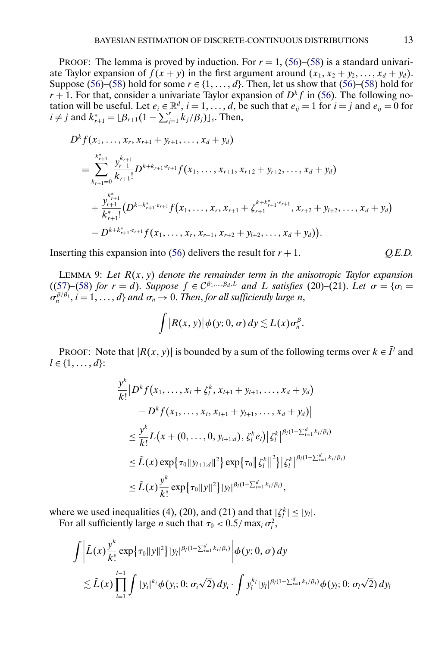<span id="page-12-0"></span>PROOF: The lemma is proved by induction. For  $r = 1$ , [\(56\)](#page-11-0)–[\(58\)](#page-11-0) is a standard univariate Taylor expansion of  $f(x + y)$  in the first argument around  $(x_1, x_2 + y_2, ..., x_d + y_d)$ . Suppose [\(56\)](#page-11-0)–[\(58\)](#page-11-0) hold for some  $r \in \{1, ..., d\}$ . Then, let us show that (56)–(58) hold for  $r + 1$ . For that, consider a univariate Taylor expansion of  $D^k f$  in [\(56\)](#page-11-0). The following notation will be useful. Let  $e_i \in \mathbb{R}^d$ ,  $i = 1, ..., d$ , be such that  $e_{ij} = 1$  for  $i = j$  and  $e_{ij} = 0$  for  $i \neq j$  and  $k_{r+1}^* = \lfloor \beta_{r+1} (1 - \sum_{j=1}^r k_j/\beta_j) \rfloor_s$ . Then,

$$
D^{k} f(x_{1},...,x_{r},x_{r+1}+y_{r+1},...,x_{d}+y_{d})
$$
\n
$$
= \sum_{k_{r+1}=0}^{k_{r+1}^{*}} \frac{y_{r+1}^{k_{r+1}}}{k_{r+1}!} D^{k+k_{r+1} \cdot e_{r+1}} f(x_{1},...,x_{r+1},x_{r+2}+y_{r+2},...,x_{d}+y_{d})
$$
\n
$$
+ \frac{y_{r+1}^{k_{r+1}}}{k_{r+1}^{*}} (D^{k+k_{r+1}^{*} \cdot e_{r+1}} f(x_{1},...,x_{r},x_{r+1}+\zeta_{r+1}^{k+k_{r+1}^{*} \cdot e_{r+1}},x_{r+2}+y_{l+2},...,x_{d}+y_{d})
$$
\n
$$
-D^{k+k_{r+1}^{*} \cdot e_{r+1}} f(x_{1},...,x_{r},x_{r+1},x_{r+2}+y_{l+2},...,x_{d}+y_{d})).
$$

Inserting this expansion into  $(56)$  delivers the result for  $r + 1$ . *Q.E.D.* 

LEMMA 9: Let  $R(x, y)$  denote the remainder term in the anisotropic Taylor expansion  $((57)–(58)$  $((57)–(58)$  $((57)–(58)$  $((57)–(58)$  *for*  $r = d$ ). *Suppose*  $f \in C^{\beta_1,\dots,\beta_d,L}$  *and L satisfies* (20)–(21). Let  $\sigma = {\sigma_i =$  $\sigma_n^{\beta/\beta_i}$ ,  $i = 1, ..., d$  *and*  $\sigma_n \to 0$ . *Then*, *for all sufficiently large n*,

$$
\int \big| R(x,y) \big| \phi(y;0,\sigma) \, dy \lesssim L(x) \sigma_n^{\beta}.
$$

PROOF: Note that  $|R(x, y)|$  is bounded by a sum of the following terms over  $k \in I^l$  and  $l \in \{1, \ldots, d\}$ :

$$
\frac{y^{k}}{k!} |D^{k} f(x_{1},...,x_{l} + \zeta_{l}^{k}, x_{l+1} + y_{l+1},...,x_{d} + y_{d})
$$
\n
$$
- D^{k} f(x_{1},...,x_{l}, x_{l+1} + y_{l+1},...,x_{d} + y_{d})|
$$
\n
$$
\leq \frac{y^{k}}{k!} L(x + (0, ..., 0, y_{l+1:d}), \zeta_{l}^{k} e_{l}) |\zeta_{l}^{k}|^{\beta_{l}(1 - \sum_{i=1}^{d} k_{i}/\beta_{i})}
$$
\n
$$
\leq \tilde{L}(x) \exp{\{\tau_{0} ||y_{l+1:d}||^{2}\}} \exp{\{\tau_{0} ||\zeta_{l}^{k}||^{2}\}} |\zeta_{l}^{k}|^{\beta_{l}(1 - \sum_{i=1}^{d} k_{i}/\beta_{i})}
$$
\n
$$
\leq \tilde{L}(x) \frac{y^{k}}{k!} \exp{\{\tau_{0} ||y||^{2}\}} |y_{l}|^{\beta_{l}(1 - \sum_{i=1}^{d} k_{i}/\beta_{i})},
$$

where we used inequalities (4), (20), and (21) and that  $|\zeta_l^k| \le |y_l|$ . For all sufficiently large *n* such that  $\tau_0 < 0.5 / \max_i \sigma_i^2$ ,

$$
\int \left| \tilde{L}(x) \frac{y^k}{k!} \exp \{ \tau_0 \|y\|^2 \} |y_l|^{\beta_l (1 - \sum_{i=1}^d k_i/\beta_i)} \right| \phi(y; 0, \sigma) dy
$$
  
\$\lesssim \tilde{L}(x) \prod\_{i=1}^{l-1} \int |y\_i|^{k\_i} \phi(y\_i; 0; \sigma\_i \sqrt{2}) dy\_i \cdot \int y\_l^{k\_l} |y\_l|^{\beta\_l (1 - \sum\_{i=1}^d k\_i/\beta\_i)} \phi(y\_i; 0; \sigma\_l \sqrt{2}) dy\_l\$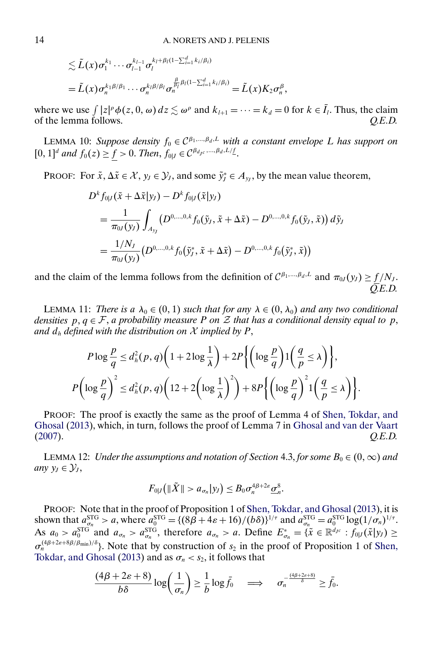<span id="page-13-0"></span>
$$
\leq \tilde{L}(x)\sigma_1^{k_1}\cdots\sigma_{l-1}^{k_{l-1}}\sigma_l^{k_l+\beta_l(1-\sum_{i=1}^d k_i/\beta_i)}
$$
  
=  $\tilde{L}(x)\sigma_n^{k_1\beta/\beta_1}\cdots\sigma_n^{k_l\beta/\beta_l}\sigma_n^{\frac{\beta}{\beta_l}\beta_l(1-\sum_{i=1}^d k_i/\beta_i)} = \tilde{L}(x)K_2\sigma_n^{\beta}$ ,

where we use  $\int_{\Omega} |z|^{\rho} \phi(z, 0, \omega) dz \lesssim \omega^{\rho}$  and  $k_{l+1} = \cdots = k_d = 0$  for  $k \in I_l$ . Thus, the claim of the lemma follows. *Q.E.D.*

LEMMA 10: *Suppose density*  $f_0 \in C^{\beta_1,\dots,\beta_d,L}$  with a constant envelope L has support on  $[0, 1]^d$  and  $f_0(z) \geq \underline{f} > 0$ . *Then*,  $f_{0|J} \in C^{\beta_{d_{J}c}, \dots, \beta_d, L/\underline{f}}$ .

PROOF: For  $\tilde{x}$ ,  $\Delta \tilde{x} \in \mathcal{X}$ ,  $y_J \in \mathcal{Y}_J$ , and some  $\tilde{y}_J^* \in A_{y_J}$ , by the mean value theorem,

$$
D^{k} f_{0|J}(\tilde{x} + \Delta \tilde{x}|y_{J}) - D^{k} f_{0|J}(\tilde{x}|y_{J})
$$
  
= 
$$
\frac{1}{\pi_{0J}(y_{J})} \int_{A_{y_{J}}} (D^{0,...,0,k} f_{0}(\tilde{y}_{J}, \tilde{x} + \Delta \tilde{x}) - D^{0,...,0,k} f_{0}(\tilde{y}_{J}, \tilde{x})) d\tilde{y}_{J}
$$
  
= 
$$
\frac{1/N_{J}}{\pi_{0J}(y_{J})} (D^{0,...,0,k} f_{0}(\tilde{y}_{J}^{*}, \tilde{x} + \Delta \tilde{x}) - D^{0,...,0,k} f_{0}(\tilde{y}_{J}^{*}, \tilde{x}))
$$

and the claim of the lemma follows from the definition of  $C^{\beta_1,...,\beta_d,L}$  and  $\pi_{0J}(y_J) \ge \underline{f}/N_J$ . *Q.E.D.*

LEMMA 11: *There is a*  $\lambda_0 \in (0, 1)$  *such that for any*  $\lambda \in (0, \lambda_0)$  *and any two conditional densities*  $p, q \in \mathcal{F}$ , *a probability measure P* on *Z that has a conditional density equal to p*, and  $d_h$  *defined with the distribution on*  $\mathcal X$  *implied by*  $P$ ,

$$
P \log \frac{p}{q} \le d_h^2(p, q) \left( 1 + 2 \log \frac{1}{\lambda} \right) + 2P \left\{ \left( \log \frac{p}{q} \right) 1 \left( \frac{q}{p} \le \lambda \right) \right\},\
$$
  

$$
P \left( \log \frac{p}{q} \right)^2 \le d_h^2(p, q) \left( 12 + 2 \left( \log \frac{1}{\lambda} \right)^2 \right) + 8P \left\{ \left( \log \frac{p}{q} \right)^2 1 \left( \frac{q}{p} \le \lambda \right) \right\}.
$$

PROOF: The proof is exactly the same as the proof of Lemma 4 of [Shen, Tokdar, and](#page-24-0) [Ghosal](#page-24-0) [\(2013\)](#page-24-0), which, in turn, follows the proof of Lemma 7 in [Ghosal and van der Vaart](#page-24-0) [\(2007\)](#page-24-0). *Q.E.D.*

LEMMA 12: *Under the assumptions and notation of Section 4.3, for some*  $B_0 \in (0, \infty)$  *and any*  $y_I \in \mathcal{Y}_I$ ,

$$
F_{0|J}\big(\|\tilde{X}\|>a_{\sigma_n}|y_J\big)\leq B_0\sigma_n^{4\beta+2\varepsilon}\underline{\sigma}_n^8.
$$

PROOF: Note that in the proof of Proposition 1 of Shen, Tokdar, and Ghosal (2013), it is shown that  $a_{\sigma_n}^{\text{STG}} > a$ , where  $a_0^{\text{STG}} = \{ (8\beta + 4\varepsilon + 16)/(b\delta) \}^{1/\tau}$  and  $a_{\sigma_n}^{\text{STG}} = a_0^{\text{STG}} \log(1/\sigma_n)^{1/\tau}$ . As  $a_0 > a_0^{\text{STG}}$  and  $a_{\sigma_n} > a_{\sigma_n}^{\text{STG}}$ , therefore  $a_{\sigma_n} > a$ . Define  $E_{\sigma_n}^* = {\{\tilde{x} \in \mathbb{R}^{d_{Jc}} : f_{0|J}(\tilde{x}|y_J) \geq \sigma_n\}}$  $\sigma_n^{(4\beta+2\varepsilon+8\beta/\beta_{\min})/\delta}$ . Note that by construction of  $s_2$  in the proof of Proposition 1 of [Shen,](#page-24-0) [Tokdar, and Ghosal](#page-24-0) [\(2013\)](#page-24-0) and as  $\sigma_n < s_2$ , it follows that

$$
\frac{(4\beta+2\varepsilon+8)}{b\delta}\log\left(\frac{1}{\sigma_n}\right)\geq \frac{1}{b}\log \bar{f}_0\quad\Longrightarrow\quad \sigma_n^{-\frac{(4\beta+2\varepsilon+8)}{\delta}}\geq \bar{f}_0.
$$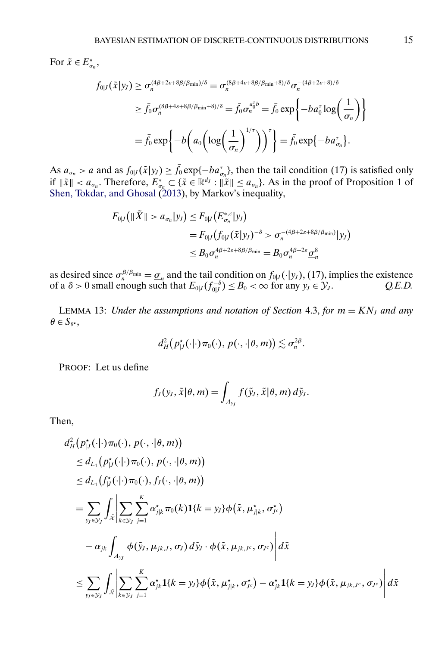<span id="page-14-0"></span>For  $\tilde{x} \in E^*_{\sigma_n}$ ,

$$
f_{0|J}(\tilde{x}|y_J) \ge \sigma_n^{(4\beta+2\varepsilon+8\beta/\beta_{\min})/\delta} = \sigma_n^{(8\beta+4\varepsilon+8\beta/\beta_{\min}+8)/\delta} \sigma_n^{-(4\beta+2\varepsilon+8)/\delta}
$$
  
\n
$$
\ge \bar{f}_0 \sigma_n^{(8\beta+4\varepsilon+8\beta/\beta_{\min}+8)/\delta} = \bar{f}_0 \sigma_n^{\sigma_0^{\tau}b} = \bar{f}_0 \exp\left\{-b a_0^{\tau} \log\left(\frac{1}{\sigma_n}\right)\right\}
$$
  
\n
$$
= \bar{f}_0 \exp\left\{-b \left(a_0 \left(\log\left(\frac{1}{\sigma_n}\right)^{1/\tau}\right)\right)^{\tau}\right\} = \bar{f}_0 \exp\{-b a_{\sigma_n}^{\tau}\}.
$$

As  $a_{\sigma_n} > a$  and as  $f_{0|J}(\tilde{x}|y_J) \ge f_0 \exp\{-ba_{\sigma_n}^{\tau}\}\)$ , then the tail condition (17) is satisfied only if  $\|\tilde{x}\| < a_{\sigma_n}$ . Therefore,  $E^*_{\sigma_n} \subset {\{\tilde{x} \in \mathbb{R}^{d_j} : \|\tilde{x}\| \le a_{\sigma_n}\}}$ . As in the proof of Proposition 1 of [Shen, Tokdar, and Ghosal](#page-24-0) [\(2013\)](#page-24-0), by Markov's inequality,

$$
F_{0|J}(\|\tilde{X}\| > a_{\sigma_n}|y_J) \leq F_{0|J}(E_{\sigma_n}^{*,c}|y_J)
$$
  
= 
$$
F_{0|J}(f_{0|J}(\tilde{x}|y_J)^{-\delta} > \sigma_n^{-(4\beta+2\varepsilon+8\beta/\beta_{\min})}|y_J)
$$
  

$$
\leq B_0 \sigma_n^{4\beta+2\varepsilon+8\beta/\beta_{\min}} = B_0 \sigma_n^{4\beta+2\varepsilon} \underline{\sigma}_n^8
$$

as desired since  $\sigma_n^{\beta/\beta_{\min}} = \underline{\sigma}_n$  and the tail condition on  $f_{0|J}(\cdot|y_J)$ , (17), implies the existence of a  $\delta > 0$  small enough such that  $E_{0|J}(f_{0|J}^{-\delta}) \leq B_0 < \infty$  for any  $y_J \in \mathcal{Y}_J$ .  $Q.E.D.$ 

LEMMA 13: *Under the assumptions and notation of Section* 4.3, *for*  $m = KN<sub>J</sub>$  *and any*  $\theta \in S_{\theta^{\star}},$ 

$$
d_H^2\big(p_{|J}^{\star}(\cdot|\cdot)\pi_0(\cdot),\,p(\cdot,\cdot|\theta,m)\big)\lesssim \sigma_n^{2\beta}.
$$

PROOF: Let us define

$$
f_J(y_J, \tilde{x}|\theta, m) = \int_{A_{y_J}} f(\tilde{y}_J, \tilde{x}|\theta, m) d\tilde{y}_J.
$$

Then,

$$
d_H^2(p_{V}^{\star}(\cdot|\cdot)\pi_0(\cdot), p(\cdot, \cdot|\theta, m))
$$
  
\n
$$
\leq d_{L_1}(p_{V}^{\star}(\cdot|\cdot)\pi_0(\cdot), p(\cdot, \cdot|\theta, m))
$$
  
\n
$$
\leq d_{L_1}(f_{V}^{\star}(\cdot|\cdot)\pi_0(\cdot), f_{V}(\cdot, \cdot|\theta, m))
$$
  
\n
$$
= \sum_{y_J \in \mathcal{Y}_J} \int_{\tilde{x}} \left| \sum_{k \in \mathcal{Y}_J} \sum_{j=1}^K \alpha_{j|k}^{\star} \pi_0(k) \mathbf{1}\{k = y_J\} \phi(\tilde{x}, \mu_{j|k}^{\star}, \sigma_{Jc}^{\star})
$$
  
\n
$$
- \alpha_{jk} \int_{A_{y_J}} \phi(\tilde{y}_J, \mu_{jk,J}, \sigma_J) d\tilde{y}_J \cdot \phi(\tilde{x}, \mu_{jk,Jc}, \sigma_{Jc}) \right| d\tilde{x}
$$
  
\n
$$
\leq \sum_{y_J \in \mathcal{Y}_J} \int_{\tilde{x}} \left| \sum_{k \in \mathcal{Y}_J} \sum_{j=1}^K \alpha_{jk}^{\star} \mathbf{1}\{k = y_J\} \phi(\tilde{x}, \mu_{j|k}^{\star}, \sigma_{Jc}^{\star}) - \alpha_{jk}^{\star} \mathbf{1}\{k = y_J\} \phi(\tilde{x}, \mu_{jk,Jc}, \sigma_{Jc}) \right| d\tilde{x}
$$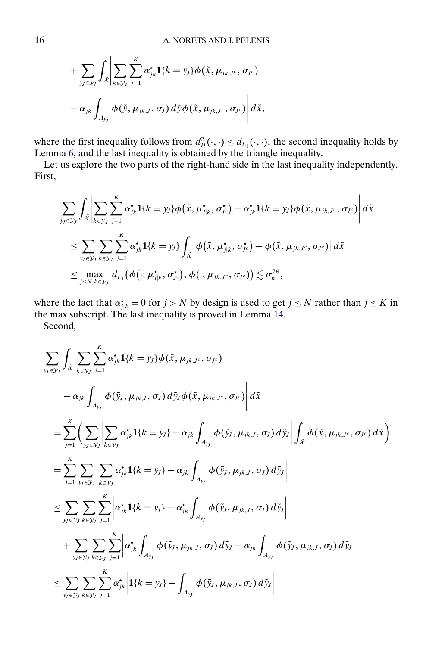+
$$
\sum_{y_J \in \mathcal{Y}_J} \int_{\tilde{\mathcal{X}}} \left| \sum_{k \in \mathcal{Y}_J} \sum_{j=1}^K \alpha_{jk}^* \mathbf{1} \{k = y_J\} \phi(\tilde{x}, \mu_{jk,J^c}, \sigma_{J^c}) -\alpha_{jk} \int_{A_{y_J}} \phi(\tilde{y}, \mu_{jk,J}, \sigma_J) d\tilde{y} \phi(\tilde{x}, \mu_{jk,J^c}, \sigma_{J^c}) \right| d\tilde{x},
$$

where the first inequality follows from  $d_H^2(\cdot, \cdot) \leq d_{L_1}(\cdot, \cdot)$ , the second inequality holds by Lemma [6,](#page-5-0) and the last inequality is obtained by the triangle inequality.

Let us explore the two parts of the right-hand side in the last inequality independently. First,

$$
\sum_{y_J \in \mathcal{Y}_J} \int_{\tilde{x}} \left| \sum_{k \in \mathcal{Y}_J} \sum_{j=1}^K \alpha_{jk}^* \mathbf{1}_{\{k = y_J\}} \phi(\tilde{x}, \mu_{j|k}^*, \sigma_{J^c}^*) - \alpha_{jk}^* \mathbf{1}_{\{k = y_J\}} \phi(\tilde{x}, \mu_{jk,J^c}, \sigma_{J^c}) \right| d\tilde{x}
$$
\n
$$
\leq \sum_{y_J \in \mathcal{Y}_J} \sum_{k \in \mathcal{Y}_J} \sum_{j=1}^K \alpha_{jk}^* \mathbf{1}_{\{k = y_J\}} \int_{\tilde{x}} \left| \phi(\tilde{x}, \mu_{j|k}^*, \sigma_{J^c}^*) - \phi(\tilde{x}, \mu_{jk,J^c}, \sigma_{J^c}) \right| d\tilde{x}
$$
\n
$$
\leq \max_{j \leq N, k \in \mathcal{Y}_J} d_{L_1}(\phi(\cdot; \mu_{j|k}^*, \sigma_{J^c}^*), \phi(\cdot, \mu_{jk,J^c}, \sigma_{J^c})) \lesssim \sigma_n^{2\beta},
$$

where the fact that  $\alpha_{j,k}^* = 0$  for  $j > N$  by design is used to get  $j \leq N$  rather than  $j \leq K$  in the max subscript. The last inequality is proved in Lemma [14.](#page-16-0)

Second,

$$
\sum_{y_j \in y_j} \int_{\tilde{x}} \left| \sum_{k \in y_j} \sum_{j=1}^{K} \alpha_{jk}^{*} \mathbf{1}_{\{k = y_j\}} \phi(\tilde{x}, \mu_{jk,J^c}, \sigma_{J^c}) \right|
$$
  
\n
$$
- \alpha_{jk} \int_{A_{y_j}} \phi(\tilde{y}_j, \mu_{jk,J}, \sigma_j) d\tilde{y}_j \phi(\tilde{x}, \mu_{jk,J^c}, \sigma_{J^c}) \left| d\tilde{x} \right|
$$
  
\n
$$
= \sum_{j=1}^{K} \left( \sum_{y_j \in y_j} \left| \sum_{k \in y_j} \alpha_{jk}^{*} \mathbf{1}_{\{k = y_j\}} - \alpha_{jk} \int_{A_{y_j}} \phi(\tilde{y}_j, \mu_{jk,J}, \sigma_j) d\tilde{y}_j \right| \int_{\tilde{x}} \phi(\tilde{x}, \mu_{jk,J^c}, \sigma_{J^c}) d\tilde{x} \right)
$$
  
\n
$$
= \sum_{j=1}^{K} \sum_{y_j \in y_j} \left| \sum_{k \in y_j} \alpha_{jk}^{*} \mathbf{1}_{\{k = y_j\}} - \alpha_{jk} \int_{A_{y_j}} \phi(\tilde{y}_j, \mu_{jk,J}, \sigma_j) d\tilde{y}_j \right|
$$
  
\n
$$
\leq \sum_{y_j \in y_j} \sum_{k \in y_j} \sum_{j=1}^{K} \left| \alpha_{jk}^{*} \mathbf{1}_{\{k = y_j\}} - \alpha_{jk}^{*} \int_{A_{y_j}} \phi(\tilde{y}_j, \mu_{jk,J}, \sigma_j) d\tilde{y}_j \right|
$$
  
\n
$$
+ \sum_{y_j \in y_j} \sum_{k \in y_j} \sum_{j=1}^{K} \left| \alpha_{jk}^{*} \int_{A_{y_j}} \phi(\tilde{y}_j, \mu_{jk,J}, \sigma_j) d\tilde{y}_j - \alpha_{jk} \int_{A_{y_j}} \phi(\tilde{y}_j, \mu_{jk,J}, \sigma_j) d\tilde{y}_j \right|
$$
  
\n
$$
\leq \sum_{y_j \in y_j} \sum_{k \in y_j} \sum_{j=1}^{K} \alpha_{jk}^{*} \left| \mathbf{1}_{\{k = y_j\}} - \
$$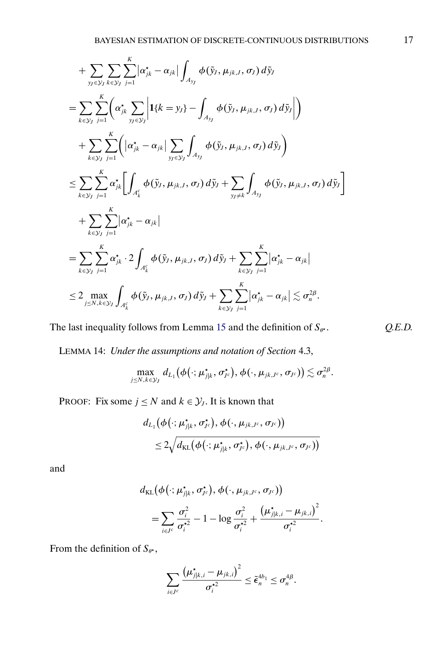<span id="page-16-0"></span>
$$
+ \sum_{\substack{y_f \in \mathcal{Y}_J \\ k \in \mathcal{Y}_J}} \sum_{i=1}^K |\alpha_{jk}^* - \alpha_{jk}| \int_{A_{yy}} \phi(\tilde{y}_J, \mu_{jk,J}, \sigma_J) d\tilde{y}_J
$$
  
\n
$$
= \sum_{k \in \mathcal{Y}_J} \sum_{j=1}^K \left( \alpha_{jk}^* \sum_{\substack{y_f \in \mathcal{Y}_J}} \left| \mathbf{1} \{k = y_J\} - \int_{A_{yy}} \phi(\tilde{y}_J, \mu_{jk,J}, \sigma_J) d\tilde{y}_J \right| \right)
$$
  
\n
$$
+ \sum_{k \in \mathcal{Y}_J} \sum_{j=1}^K \left( |\alpha_{jk}^* - \alpha_{jk}| \sum_{\substack{y_f \in \mathcal{Y}_J}} \int_{A_{yy}} \phi(\tilde{y}_J, \mu_{jk,J}, \sigma_J) d\tilde{y}_J \right)
$$
  
\n
$$
\leq \sum_{k \in \mathcal{Y}_J} \sum_{j=1}^K \alpha_{jk}^* \left[ \int_{A_k^c} \phi(\tilde{y}_J, \mu_{jk,J}, \sigma_J) d\tilde{y}_J + \sum_{y_J \neq k} \int_{A_{yy}} \phi(\tilde{y}_J, \mu_{jk,J}, \sigma_J) d\tilde{y}_J \right]
$$
  
\n
$$
+ \sum_{k \in \mathcal{Y}_J} \sum_{j=1}^K |\alpha_{jk}^* - \alpha_{jk}|
$$
  
\n
$$
= \sum_{k \in \mathcal{Y}_J} \sum_{j=1}^K \alpha_{jk}^* \cdot 2 \int_{A_k^c} \phi(\tilde{y}_J, \mu_{jk,J}, \sigma_J) d\tilde{y}_J + \sum_{k \in \mathcal{Y}_J} \sum_{j=1}^K |\alpha_{jk}^* - \alpha_{jk}|
$$
  
\n
$$
\leq 2 \max_{j \leq N, k \in \mathcal{Y}_J} \int_{A_k^c} \phi(\tilde{y}_J, \mu_{jk,J}, \sigma_J) d\tilde{y}_J + \sum_{k \in \mathcal{Y}_J} \sum_{j=1}^K |\alpha_{jk}^* - \alpha_{jk}| \lesssim \sigma_n^{2\beta}.
$$

The last inequality follows from Lemma [15](#page-17-0) and the definition of  $S_{\theta^*}$ .  $Q.E.D.$ 

LEMMA 14: *Under the assumptions and notation of Section* 4.3,

$$
\max_{j\leq N, k\in \mathcal{Y}_J} \, d_{L_1}\big(\boldsymbol{\phi}\big(\cdot ; \boldsymbol{\mu}^\star_{j|k}, \sigma_{J^c}^\star\big), \boldsymbol{\phi}\big(\cdot, \boldsymbol{\mu}_{jk,J^c}, \sigma_{J^c}\big)\big) \lesssim \sigma_n^{2\beta}.
$$

PROOF: Fix some  $j \leq N$  and  $k \in \mathcal{Y}_j$ . It is known that

$$
d_{L_1}(\phi(\cdot;\mu_{j|k}^{\star},\sigma_{J^c}^{\star}),\phi(\cdot,\mu_{jk,J^c},\sigma_{J^c}))\\ \leq 2\sqrt{d_{\text{KL}}\big(\phi\big(\cdot;\mu_{j|k}^{\star},\sigma_{J^c}^{\star}\big),\phi\big(\cdot,\mu_{jk,J^c},\sigma_{J^c}\big)\big)}
$$

and

$$
d_{\text{KL}}(\phi(\cdot;\mu_{j|k}^{\star},\sigma_{jc}^{\star}),\phi(\cdot,\mu_{jk,l^c},\sigma_{J^c}))
$$
  
=
$$
\sum_{i\in J^c}\frac{\sigma_i^2}{\sigma_i^{\star 2}}-1-\log\frac{\sigma_i^2}{\sigma_i^{\star 2}}+\frac{(\mu_{j|k,i}^{\star}-\mu_{jk,i})^2}{\sigma_i^{\star 2}}.
$$

From the definition of  $S_{\theta^*}$ ,

$$
\sum_{i\in J^c}\frac{(\mu^{\star}_{j|k,i}-\mu_{jk,i})^2}{\sigma_i^{\star 2}}\leq \tilde{\epsilon}_n^{4b_1}\leq \sigma_n^{4\beta}.
$$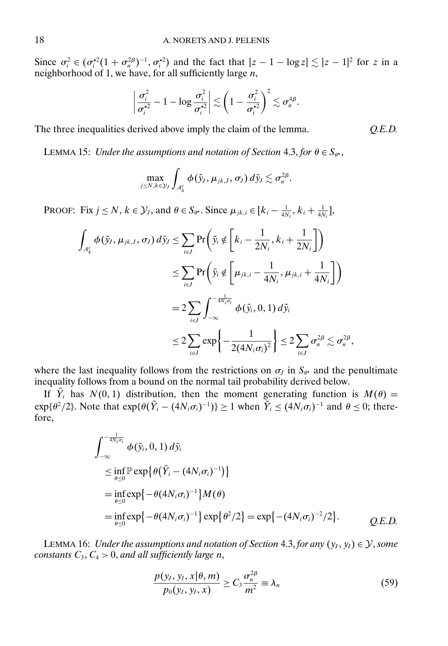<span id="page-17-0"></span>Since  $\sigma_i^2 \in (\sigma_i^{*2}(1 + \sigma_n^{2\beta})^{-1}, \sigma_i^{*2})$  and the fact that  $|z - 1 - \log z| \lesssim |z - 1|^2$  for z in a neighborhood of 1, we have, for all sufficiently large  $n$ ,

$$
\left|\frac{\sigma_i^2}{\sigma_i^{\star 2}}-1-\log \frac{\sigma_i^2}{\sigma_i^{\star 2}}\right| \lesssim \left(1-\frac{\sigma_i^2}{\sigma_i^{\star 2}}\right)^2 \lesssim \sigma_n^{4\beta}.
$$

The three inequalities derived above imply the claim of the lemma. *Q.E.D.*

LEMMA 15: *Under the assumptions and notation of Section* 4.3, *for*  $\theta \in S_{\theta^*}$ ,

$$
\max_{j\leq N, k\in \mathcal{Y}_J} \int_{\mathcal{A}_k^c} \phi(\tilde{\mathbf{y}}_J, \mu_{jk,J}, \sigma_{\!J})\,d\tilde{\mathbf{y}}_J\lesssim \sigma_n^{2\beta}.
$$

PROOF: Fix  $j \le N$ ,  $k \in \mathcal{Y}_j$ , and  $\theta \in S_{\theta^*}$ . Since  $\mu_{jk,i} \in [k_i - \frac{1}{4N_i}, k_i + \frac{1}{4N_i}],$ 

$$
\int_{A_k^c} \phi(\tilde{y}_J, \mu_{jk,J}, \sigma_J) d\tilde{y}_J \le \sum_{i \in J} \Pr\left(\tilde{y}_i \notin \left[k_i - \frac{1}{2N_i}, k_i + \frac{1}{2N_i}\right]\right)
$$
  

$$
\le \sum_{i \in J} \Pr\left(\tilde{y}_i \notin \left[\mu_{jk,i} - \frac{1}{4N_i}, \mu_{jk,i} + \frac{1}{4N_i}\right]\right)
$$
  

$$
= 2 \sum_{i \in J} \int_{-\infty}^{-\frac{1}{4N_i \sigma_i}} \phi(\tilde{y}_i, 0, 1) d\tilde{y}_i
$$
  

$$
\le 2 \sum_{i \in J} \exp\left\{-\frac{1}{2(4N_i \sigma_i)^2}\right\} \le 2 \sum_{i \in J} \sigma_n^{2\beta} \lesssim \sigma_n^{2\beta},
$$

where the last inequality follows from the restrictions on  $\sigma_j$  in  $S_{\theta^*}$  and the penultimate inequality follows from a bound on the normal tail probability derived below.

If  $Y_i$  has  $N(0, 1)$  distribution, then the moment generating function is  $M(\theta) =$  $\exp{\{\theta^2/2\}}$ . Note that  $\exp{\{\theta(\hat{Y}_i - (4N_i\sigma_i)^{-1})\}} \ge 1$  when  $\hat{Y}_i \le (4N_i\sigma_i)^{-1}$  and  $\theta \le 0$ ; therefore,

$$
\int_{-\infty}^{-\frac{1}{4N_i\sigma_i}} \phi(\tilde{y}_i, 0, 1) d\tilde{y}_i
$$
\n
$$
\leq \inf_{\theta \leq 0} \mathbb{P} \exp \{ \theta(\tilde{Y}_i - (4N_i\sigma_i)^{-1}) \}
$$
\n
$$
= \inf_{\theta \leq 0} \exp \{ -\theta(4N_i\sigma_i)^{-1} \} M(\theta)
$$
\n
$$
= \inf_{\theta \leq 0} \exp \{ -\theta(4N_i\sigma_i)^{-1} \} \exp \{ \theta^2/2 \} = \exp \{ -(4N_i\sigma_i)^{-2}/2 \}.
$$
\nQ.E.D.

LEMMA 16: *Under the assumptions and notation of Section* 4.3, *for any*  $(y_J, y_I) \in \mathcal{Y}$ , *some*  $constants C_3, C_4 > 0, and all sufficiently large n,$ 

$$
\frac{p(y_I, y_I, x | \theta, m)}{p_0(y_I, y_I, x)} \ge C_3 \frac{\sigma_n^{2\beta}}{m^2} \equiv \lambda_n \tag{59}
$$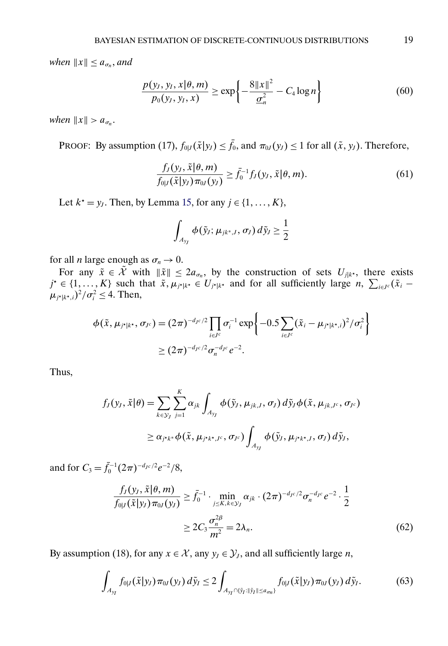<span id="page-18-0"></span>*when*  $||x|| \leq a_{\sigma_n}$ *, and* 

$$
\frac{p(y_I, y_I, x | \theta, m)}{p_0(y_I, y_I, x)} \ge \exp\left\{-\frac{8\|x\|^2}{\underline{\sigma}_n^2} - C_4 \log n\right\} \tag{60}
$$

when  $||x|| > a_{\sigma_n}$ .

PROOF: By assumption (17),  $f_{0|J}(\tilde{x}|y_J) \le f_0$ , and  $\pi_{0J}(y_J) \le 1$  for all  $(\tilde{x}, y_J)$ . Therefore,

$$
\frac{f_J(y_J, \tilde{x}|\theta, m)}{f_{0|J}(\tilde{x}|y_J)\pi_{0J}(y_J)} \ge \bar{f}_0^{-1}f_J(y_J, \tilde{x}|\theta, m). \tag{61}
$$

Let  $k^* = y_j$ . Then, by Lemma [15,](#page-17-0) for any  $j \in \{1, ..., K\}$ ,

$$
\int_{A_{y_j}} \phi(\tilde{y}_j; \mu_{jk^*,I}, \sigma_j) d\tilde{y}_j \geq \frac{1}{2}
$$

for all *n* large enough as  $\sigma_n \to 0$ .

For any  $\tilde{x} \in \tilde{\mathcal{X}}$  with  $\|\tilde{x}\| \leq 2a_{\sigma_n}$ , by the construction of sets  $U_{j|k^*}$ , there exists  $j^* \in \{1, ..., K\}$  such that  $\tilde{x}, \mu_{j^*|k^*} \in U_{j^*|k^*}$  and for all sufficiently large  $n, \sum_{i \in J^c} (\tilde{x}_i - \tilde{x}_i)$  $\mu_{j^*|k^*,i})^2/\sigma_i^2 \leq 4$ . Then,

$$
\phi(\tilde{x}, \mu_{j^*|k^*}, \sigma_{J^c}) = (2\pi)^{-d_{J^c}/2} \prod_{i \in J^c} \sigma_i^{-1} \exp \left\{-0.5 \sum_{i \in J^c} (\tilde{x}_i - \mu_{j^*|k^*,i})^2 / \sigma_i^2 \right\}
$$
  
 
$$
\geq (2\pi)^{-d_{J^c}/2} \sigma_n^{-d_{J^c}} e^{-2}.
$$

Thus,

$$
f_J(y_J, \tilde{x}|\theta) = \sum_{k \in \mathcal{Y}_J} \sum_{j=1}^K \alpha_{jk} \int_{A_{y_J}} \phi(\tilde{y}_J, \mu_{jk,J}, \sigma_J) d\tilde{y}_J \phi(\tilde{x}, \mu_{jk,J^c}, \sigma_{J^c})
$$
  

$$
\geq \alpha_{j^*k^*} \phi(\tilde{x}, \mu_{j^*k^*,J^c}, \sigma_{J^c}) \int_{A_{y_J}} \phi(\tilde{y}_J, \mu_{j^*k^*,J}, \sigma_J) d\tilde{y}_J,
$$

and for  $C_3 = \bar{f}_0^{-1} (2\pi)^{-d_{Jc}/2} e^{-2}/8$ ,

$$
\frac{f_J(y_J, \tilde{x}|\theta, m)}{f_{0|J}(\tilde{x}|y_J)\pi_{0J}(y_J)} \ge \bar{f}_0^{-1} \cdot \min_{j \le K, k \in \mathcal{Y}_J} \alpha_{jk} \cdot (2\pi)^{-d_{Jc}/2} \sigma_n^{-d_{Jc}} e^{-2} \cdot \frac{1}{2}
$$
\n
$$
\ge 2C_3 \frac{\sigma_n^{2\beta}}{m^2} = 2\lambda_n.
$$
\n(62)

By assumption (18), for any  $x \in \mathcal{X}$ , any  $y_J \in \mathcal{Y}_J$ , and all sufficiently large *n*,

$$
\int_{A_{y_I}} f_{0|J}(\tilde{x}|y_J) \pi_{0J}(y_J) d\tilde{y}_I \le 2 \int_{A_{y_I} \cap (\tilde{y}_I : ||\tilde{y}_I|| \le a_{\sigma_I})} f_{0|J}(\tilde{x}|y_J) \pi_{0J}(y_J) d\tilde{y}_I.
$$
 (63)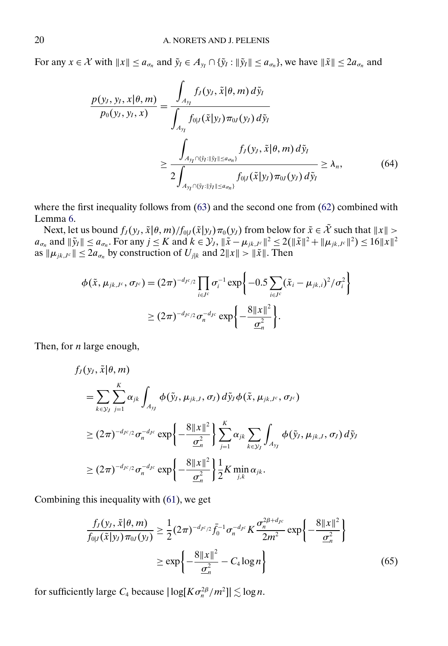<span id="page-19-0"></span>For any  $x \in \mathcal{X}$  with  $||x|| \le a_{\sigma_n}$  and  $\tilde{y}_I \in A_{y_I} \cap {\{\tilde{y}_I : ||\tilde{y}_I|| \le a_{\sigma_n}\}}$ , we have  $||\tilde{x}|| \le 2a_{\sigma_n}$  and

$$
\frac{p(y_I, y_I, x | \theta, m)}{p_0(y_I, y_I, x)} = \frac{\int_{A_{y_I}} f_J(y_I, \tilde{x} | \theta, m) d\tilde{y}_I}{\int_{A_{y_I}} f_{0|J}(\tilde{x} | y_J) \pi_{0J}(y_J) d\tilde{y}_I}
$$
\n
$$
\geq \frac{\int_{A_{y_I} \cap \{ \tilde{y}_I : ||\tilde{y}_I|| \leq a_{\sigma n} \}} f_J(y_I, \tilde{x} | \theta, m) d\tilde{y}_I}{2 \int_{A_{y_I} \cap \{ \tilde{y}_I : ||\tilde{y}_I|| \leq a_{\sigma n} \}} f_{0|J}(\tilde{x} | y_J) \pi_{0J}(y_J) d\tilde{y}_I} \geq \lambda_n,
$$
\n(64)

where the first inequality follows from  $(63)$  and the second one from  $(62)$  combined with Lemma [6.](#page-5-0)

Next, let us bound  $f_J(y_J, \tilde{x} | \theta, m) / f_{0|J}(\tilde{x} | y_J) \pi_0(y_J)$  from below for  $\tilde{x} \in \mathcal{X}$  such that  $||x|| >$  $a_{\sigma_n}$  and  $\|\tilde{y}_I\| \le a_{\sigma_n}$ . For any  $j \le K$  and  $k \in \mathcal{Y}_J$ ,  $\|\tilde{x} - \mu_{jk,J^c}\|^2 \le 2(\|\tilde{x}\|^2 + \|\mu_{jk,J^c}\|^2) \le 16\|x\|^2$ as  $\|\mu_{jk,J^c}\| \leq 2a_{\sigma_n}$  by construction of  $U_{j|k}$  and  $2||x|| > ||\tilde{x}||$ . Then

$$
\phi(\tilde{x}, \mu_{jk,J^c}, \sigma_{J^c}) = (2\pi)^{-d_{J^c/2}} \prod_{i \in J^c} \sigma_i^{-1} \exp \left\{ -0.5 \sum_{i \in J^c} (\tilde{x}_i - \mu_{jk,i})^2 / \sigma_i^2 \right\}
$$
  
 
$$
\geq (2\pi)^{-d_{J^c/2}} \sigma_n^{-d_{J^c}} \exp \left\{ -\frac{8||x||^2}{\underline{\sigma}_n^2} \right\}.
$$

Then, for  $n$  large enough,

$$
f_J(y_j, \tilde{x}|\theta, m)
$$
  
\n
$$
= \sum_{k \in \mathcal{Y}_J} \sum_{j=1}^K \alpha_{jk} \int_{A_{y_j}} \phi(\tilde{y}_j, \mu_{jk,j}, \sigma_j) d\tilde{y}_J \phi(\tilde{x}, \mu_{jk,j^c}, \sigma_{J^c})
$$
  
\n
$$
\geq (2\pi)^{-d_{J^c/2}} \sigma_n^{-d_{J^c}} \exp\left\{-\frac{8\|x\|^2}{\sigma_n^2}\right\} \sum_{j=1}^K \alpha_{jk} \sum_{k \in \mathcal{Y}_J} \int_{A_{y_J}} \phi(\tilde{y}_j, \mu_{jk,j}, \sigma_j) d\tilde{y}_J
$$
  
\n
$$
\geq (2\pi)^{-d_{J^c/2}} \sigma_n^{-d_{J^c}} \exp\left\{-\frac{8\|x\|^2}{\sigma_n^2}\right\} \frac{1}{2} K \min_{j,k} \alpha_{jk}.
$$

Combining this inequality with [\(61\)](#page-18-0), we get

$$
\frac{f_J(y_J, \tilde{x}|\theta, m)}{f_{0|J}(\tilde{x}|y_J)\pi_{0J}(y_J)} \ge \frac{1}{2}(2\pi)^{-d_{Jc/2}}\bar{f}_0^{-1}\sigma_n^{-d_{Jc}}K\frac{\sigma_n^{2\beta + d_{Jc}}}{2m^2}\exp\left\{-\frac{8||x||^2}{\underline{\sigma}_n^2}\right\}
$$
\n
$$
\ge \exp\left\{-\frac{8||x||^2}{\underline{\sigma}_n^2} - C_4\log n\right\} \tag{65}
$$

for sufficiently large  $C_4$  because  $|\log[K\sigma_n^{2\beta}/m^2]| \lesssim \log n$ .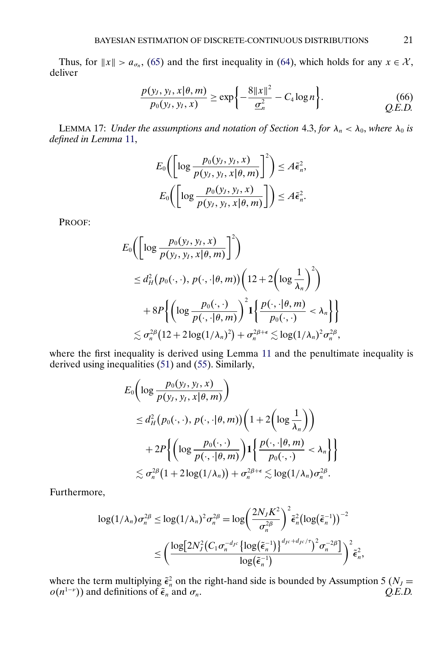<span id="page-20-0"></span>Thus, for  $||x|| > a_{\sigma_n}$ , [\(65\)](#page-19-0) and the first inequality in [\(64\)](#page-19-0), which holds for any  $x \in \mathcal{X}$ , deliver

$$
\frac{p(y_I, y_I, x | \theta, m)}{p_0(y_I, y_I, x)} \ge \exp\left\{-\frac{8\|x\|^2}{\underline{\sigma}_n^2} - C_4 \log n\right\}.
$$
\n(66) *Q.E.D.*

LEMMA 17: *Under the assumptions and notation of Section* 4.3, *for*  $\lambda_n < \lambda_0$ *, where*  $\lambda_0$  *is defined in Lemma* [11,](#page-13-0)

$$
E_0\bigg(\bigg[\log\frac{p_0(y_J, y_I, x)}{p(y_J, y_I, x | \theta, m)}\bigg]^2\bigg) \leq A\tilde{\epsilon}_n^2,
$$
  

$$
E_0\bigg(\bigg[\log\frac{p_0(y_J, y_I, x)}{p(y_J, y_I, x | \theta, m)}\bigg]\bigg) \leq A\tilde{\epsilon}_n^2.
$$

PROOF:

$$
E_0\left(\left[\log \frac{p_0(y_J, y_I, x)}{p(y_J, y_I, x | \theta, m)}\right]^2\right)
$$
  
\n
$$
\leq d_H^2(p_0(\cdot, \cdot), p(\cdot, \cdot | \theta, m)) \left(12 + 2\left(\log \frac{1}{\lambda_n}\right)^2\right)
$$
  
\n
$$
+ 8P\left\{\left(\log \frac{p_0(\cdot, \cdot)}{p(\cdot, \cdot | \theta, m)}\right)^2 \left(\frac{p(\cdot, \cdot | \theta, m)}{p_0(\cdot, \cdot)} < \lambda_n\right\}\right\}
$$
  
\n
$$
\lesssim \sigma_n^{2\beta} (12 + 2\log(1/\lambda_n)^2) + \sigma_n^{2\beta + \epsilon} \lesssim \log(1/\lambda_n)^2 \sigma_n^{2\beta},
$$

where the first inequality is derived using Lemma [11](#page-13-0) and the penultimate inequality is derived using inequalities [\(51\)](#page-8-0) and [\(55\)](#page-9-0). Similarly,

$$
E_0\left(\log \frac{p_0(y_J, y_I, x)}{p(y_J, y_I, x | \theta, m)}\right)
$$
  
\n
$$
\leq d_H^2\left(p_0(\cdot, \cdot), p(\cdot, \cdot | \theta, m)\right) \left(1 + 2\left(\log \frac{1}{\lambda_n}\right)\right)
$$
  
\n
$$
+ 2P\left\{\left(\log \frac{p_0(\cdot, \cdot)}{p(\cdot, \cdot | \theta, m)}\right) \mathbf{1}\left\{\frac{p(\cdot, \cdot | \theta, m)}{p_0(\cdot, \cdot)} < \lambda_n\right\}\right\}
$$
  
\n
$$
\lesssim \sigma_n^{2\beta} \left(1 + 2\log(1/\lambda_n)\right) + \sigma_n^{2\beta + \epsilon} \lesssim \log(1/\lambda_n) \sigma_n^{2\beta}.
$$

Furthermore,

$$
\log(1/\lambda_n)\sigma_n^{2\beta} \le \log(1/\lambda_n)^2 \sigma_n^{2\beta} = \log\left(\frac{2N_JK^2}{\sigma_n^{2\beta}}\right)^2 \tilde{\epsilon}_n^2 \left(\log(\tilde{\epsilon}_n^{-1})\right)^{-2}
$$
  

$$
\le \left(\frac{\log[2N_J^2(C_1\sigma_n^{-d_{Jc}}\{\log(\tilde{\epsilon}_n^{-1})\}^{d_{Jc}+d_{Jc}/\tau})^2 \sigma_n^{-2\beta}]}{\log(\tilde{\epsilon}_n^{-1})}\right)^2 \tilde{\epsilon}_n^2,
$$

where the term multiplying  $\tilde{\epsilon}_n^2$  on the right-hand side is bounded by Assumption 5 ( $N_J$  =  $o(n^{1-\nu})$  and definitions of  $\tilde{\epsilon}_n$  and  $\sigma_n$ .  $Q.E.D.$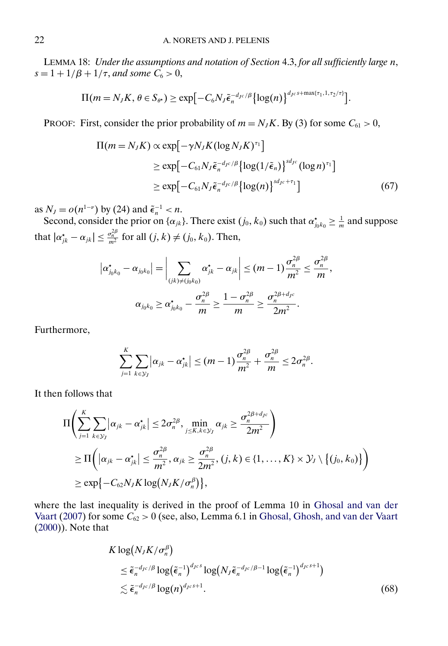<span id="page-21-0"></span>LEMMA 18: *Under the assumptions and notation of Section* 4.3, *for all sufficiently large* n,  $s = 1 + 1/\beta + 1/\tau$ , and some  $C_6 > 0$ ,

$$
\Pi(m=N_JK,\,\theta\in S_{\theta^*})\geq \exp\bigl[-C_6N_J\tilde{\epsilon}_n^{-d_{J^c}/\beta}\bigl\{\log(n)\bigr\}^{d_{J^c}\tilde{s}+\max\{\tau_1,1,\tau_2/\tau\}}\bigr].
$$

PROOF: First, consider the prior probability of  $m = N_J K$ . By (3) for some  $C_{61} > 0$ ,

$$
\Pi(m = N_J K) \propto \exp\left[-\gamma N_J K (\log N_J K)^{\tau_1}\right]
$$
  
\n
$$
\geq \exp\left[-C_{61} N_J \tilde{\epsilon}_n^{-d_{J^c}/\beta} {\log(1/\tilde{\epsilon}_n)}\right]^{s d_{J^c}} (\log n)^{\tau_1}]
$$
  
\n
$$
\geq \exp\left[-C_{61} N_J \tilde{\epsilon}_n^{-d_{J^c}/\beta} {\log(n)}\right]^{s d_{J^c} + \tau_1}
$$
(67)

as  $N_J = o(n^{1-\nu})$  by (24) and  $\tilde{\epsilon}_n^{-1} < n$ .

Second, consider the prior on  $\{\alpha_{jk}\}\)$ . There exist  $(j_0, k_0)$  such that  $\alpha_{j_0 k_0}^* \geq \frac{1}{m}$  and suppose that  $|\alpha_{jk}^{\star} - \alpha_{jk}| \leq \frac{\sigma_n^{2\beta}}{m^2}$  for all  $(j, k) \neq (j_0, k_0)$ . Then,

$$
|\alpha_{j_0k_0}^{\star} - \alpha_{j_0k_0}| = \left| \sum_{(jk) \neq (j_0k_0)} \alpha_{jk}^{\star} - \alpha_{jk} \right| \leq (m-1) \frac{\sigma_n^{2\beta}}{m^2} \leq \frac{\sigma_n^{2\beta}}{m},
$$

$$
\alpha_{j_0k_0} \geq \alpha_{j_0k_0}^{\star} - \frac{\sigma_n^{2\beta}}{m} \geq \frac{1 - \sigma_n^{2\beta}}{m} \geq \frac{\sigma_n^{2\beta + d_{jc}}}{2m^2}.
$$

Furthermore,

$$
\sum_{j=1}^K \sum_{k \in \mathcal{Y}_j} |\alpha_{jk} - \alpha_{jk}^{\star}| \leq (m-1) \frac{\sigma_n^{2\beta}}{m^2} + \frac{\sigma_n^{2\beta}}{m} \leq 2\sigma_n^{2\beta}.
$$

It then follows that

$$
\Pi\left(\sum_{j=1}^K \sum_{k\in\mathcal{Y}_J} |\alpha_{jk} - \alpha_{jk}^{\star}| \le 2\sigma_n^{2\beta}, \min_{j\le K, k\in\mathcal{Y}_J} \alpha_{jk} \ge \frac{\sigma_n^{2\beta + d_{Jc}}}{2m^2}\right) \n\ge \Pi\left(|\alpha_{jk} - \alpha_{jk}^{\star}| \le \frac{\sigma_n^{2\beta}}{m^2}, \alpha_{jk} \ge \frac{\sigma_n^{2\beta}}{2m^2}, (j, k) \in \{1, \dots, K\} \times \mathcal{Y}_J \setminus \{(j_0, k_0)\}\right) \n\ge \exp\{-C_{62}N_J K \log(N_J K/\sigma_n^{\beta})\},
$$

where the last inequality is derived in the proof of Lemma 10 in [Ghosal and van der](#page-24-0) [Vaart](#page-24-0) [\(2007\)](#page-24-0) for some  $C_{62} > 0$  (see, also, Lemma 6.1 in [Ghosal, Ghosh, and van der Vaart](#page-24-0) [\(2000\)](#page-24-0)). Note that

$$
K \log(N_J K/\sigma_n^{\beta})
$$
  
\n
$$
\leq \tilde{\epsilon}_n^{-d_{Jc}/\beta} \log(\tilde{\epsilon}_n^{-1})^{d_{JcS}} \log(N_J \tilde{\epsilon}_n^{-d_{Jc}/\beta-1} \log(\tilde{\epsilon}_n^{-1})^{d_{JcS}+1})
$$
  
\n
$$
\lesssim \tilde{\epsilon}_n^{-d_{Jc}/\beta} \log(n)^{d_{JcS}+1}.
$$
\n(68)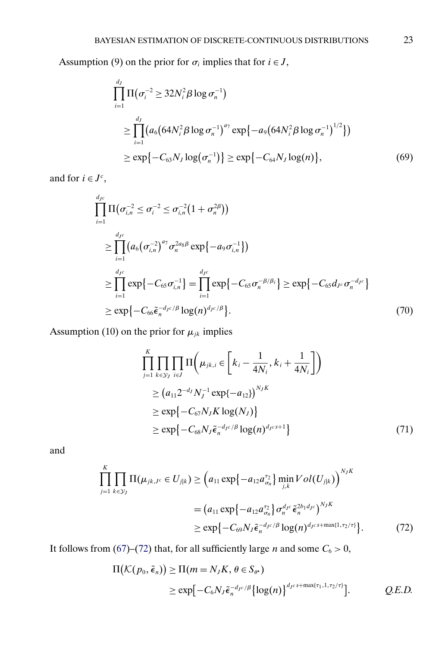Assumption (9) on the prior for  $\sigma_i$  implies that for  $i \in J$ ,

$$
\prod_{i=1}^{d_j} \Pi(\sigma_i^{-2} \ge 32N_i^2 \beta \log \sigma_n^{-1})
$$
\n
$$
\ge \prod_{i=1}^{d_j} \left( a_6 \left( 64N_i^2 \beta \log \sigma_n^{-1} \right)^{a_7} \exp \left\{ -a_9 \left( 64N_i^2 \beta \log \sigma_n^{-1} \right)^{1/2} \right\} \right)
$$
\n
$$
\ge \exp \left\{ -C_{63} N_J \log \left( \sigma_n^{-1} \right) \right\} \ge \exp \left\{ -C_{64} N_J \log(n) \right\},\tag{69}
$$

and for  $i \in J^c$ ,

$$
\prod_{i=1}^{d_{Jc}} \Pi(\sigma_{i,n}^{-2} \leq \sigma_{i}^{-2} \leq \sigma_{i,n}^{-2} (1 + \sigma_{n}^{2\beta}))
$$
\n
$$
\geq \prod_{i=1}^{d_{Jc}} (a_{6}(\sigma_{i,n}^{-2})^{a_{7}} \sigma_{n}^{2a_{8}\beta} \exp\{-a_{9}\sigma_{i,n}^{-1}\})
$$
\n
$$
\geq \prod_{i=1}^{d_{Jc}} \exp\{-C_{65}\sigma_{i,n}^{-1}\} = \prod_{i=1}^{d_{Jc}} \exp\{-C_{65}\sigma_{n}^{-\beta/\beta_{i}}\} \geq \exp\{-C_{65}d_{Jc}\sigma_{n}^{-d_{Jc}}\}
$$
\n
$$
\geq \exp\{-C_{66}\tilde{\epsilon}_{n}^{-d_{Jc}/\beta} \log(n)^{d_{Jc}/\beta}\}.
$$
\n(70)

Assumption (10) on the prior for  $\mu_{jk}$  implies

$$
\prod_{j=1}^{K} \prod_{k \in \mathcal{Y}_{J}} \prod \left( \mu_{jk,i} \in \left[ k_{i} - \frac{1}{4N_{i}}, k_{i} + \frac{1}{4N_{i}} \right] \right)
$$
\n
$$
\geq (a_{11} 2^{-d_{J}} N_{J}^{-1} \exp\{-a_{12}\})^{N_{J}K}
$$
\n
$$
\geq \exp\{-C_{67} N_{J} K \log(N_{J})\}
$$
\n
$$
\geq \exp\{-C_{68} N_{J} \tilde{\epsilon}_{n}^{-d_{J}c/\beta} \log(n)^{d_{J}c s+1}\}
$$
\n(71)

and

$$
\prod_{j=1}^{K} \prod_{k \in \mathcal{Y}_{J}} \Pi(\mu_{jk,J^c} \in U_{j|k}) \geq \left(a_{11} \exp\{-a_{12} a_{\sigma_n}^{\tau_2}\} \min_{j,k} Vol(U_{j|k})\right)^{N_J K}
$$
\n
$$
= \left(a_{11} \exp\{-a_{12} a_{\sigma_n}^{\tau_2}\} \sigma_n^{d_{Jc}} \tilde{\epsilon}_n^{2b_1 d_{Jc}}\right)^{N_J K}
$$
\n
$$
\geq \exp\{-C_{69} N_J \tilde{\epsilon}_n^{-d_{Jc}/\beta} \log(n)^{d_{Jc} s + \max\{1, \tau_2/\tau\}}\}.
$$
\n(72)

It follows from [\(67\)](#page-21-0)–(72) that, for all sufficiently large *n* and some  $C_6 > 0$ ,

$$
\Pi(K(p_0, \tilde{\epsilon}_n)) \ge \Pi(m = N_J K, \theta \in S_{\theta^*})
$$
  
 
$$
\ge \exp[-C_6 N_J \tilde{\epsilon}_n^{-d_{J^c}/\beta} {\log(n)}^{d_{J^{c}s + max\{\tau_1, 1, \tau_2/\tau\}}}. \qquad Q.E.D. \qquad \
$$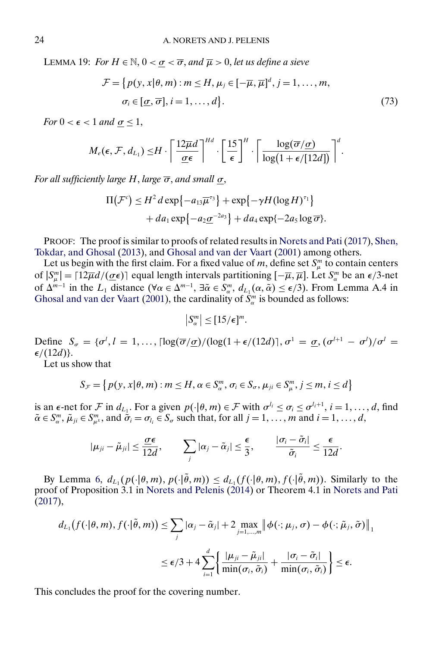<span id="page-23-0"></span>LEMMA 19: *For*  $H \in \mathbb{N}$ ,  $0 < \sigma < \overline{\sigma}$ , and  $\overline{\mu} > 0$ , let us define a sieve

$$
\mathcal{F} = \{p(y, x | \theta, m) : m \le H, \mu_j \in [-\overline{\mu}, \overline{\mu}]^d, j = 1, ..., m, \n\sigma_i \in [\underline{\sigma}, \overline{\sigma}], i = 1, ..., d\}.
$$
\n(73)

*For*  $0 < \epsilon < 1$  *and*  $\sigma \leq 1$ ,

$$
M_e(\epsilon, \mathcal{F}, d_{L_1}) \leq H \cdot \left[ \frac{12 \overline{\mu} d}{\underline{\sigma} \epsilon} \right]^{Hd} \cdot \left[ \frac{15}{\epsilon} \right]^H \cdot \left[ \frac{\log(\overline{\sigma}/\underline{\sigma})}{\log(1 + \epsilon/[12d])} \right]^d.
$$

*For all sufficiently large* H, *large* σ, *and small* σ,

$$
\Pi(\mathcal{F}^c) \leq H^2 d \exp\{-a_{13}\overline{\mu}^{r_3}\} + \exp\{-\gamma H (\log H)^{r_1}\}+ da_1 \exp\{-a_2 \underline{\sigma}^{-2a_3}\} + da_4 \exp\{-2a_5 \log \overline{\sigma}\}.
$$

PROOF: The proof is similar to proofs of related results in [Norets and Pati](#page-24-0) [\(2017\)](#page-24-0), [Shen,](#page-24-0) [Tokdar, and Ghosal](#page-24-0) [\(2013\)](#page-24-0), and [Ghosal and van der Vaart](#page-24-0) [\(2001\)](#page-24-0) among others.

Let us begin with the first claim. For a fixed value of m, define set  $S_{\mu}^{m}$  to contain centers of  $|S_{\mu}^{m}| = \lceil 12\overline{\mu}d/(\underline{\sigma}\epsilon)\rceil$  equal length intervals partitioning  $[-\overline{\mu}, \overline{\mu}]$ . Let  $S_{\alpha}^{m}$  be an  $\epsilon/3$ -net of  $\Delta^{m-1}$  in the  $L_1$  distance ( $\forall \alpha \in \Delta^{m-1}$ ,  $\exists \tilde{\alpha} \in S_{\alpha}^m$ ,  $d_{L_1}(\alpha, \tilde{\alpha}) \leq \epsilon/3$ ). From Lemma A.4 in [Ghosal and van der Vaart](#page-24-0) [\(2001\)](#page-24-0), the cardinality of  $S_{\alpha}^{m}$  is bounded as follows:

$$
|S_\alpha^m| \leq [15/\epsilon]^m.
$$

Define  $S_{\sigma} = {\sigma^l, l = 1, ..., \lceil \log(\overline{\sigma}/\underline{\sigma})/(\log(1 + \epsilon/(12d)) \rceil, \sigma^1 = \underline{\sigma}, (\sigma^{l+1} - \sigma^l)/\sigma^l =$  $\epsilon/(12d)$ .

Let us show that

$$
S_{\mathcal{F}} = \left\{ p(y, x | \theta, m) : m \leq H, \alpha \in S_{\alpha}^m, \sigma_i \in S_{\sigma}, \mu_{ji} \in S_{\mu}^m, j \leq m, i \leq d \right\}
$$

is an  $\epsilon$ -net for  $\mathcal F$  in  $d_{L_1}$ . For a given  $p(\cdot|\theta, m) \in \mathcal F$  with  $\sigma^{l_i} \leq \sigma_i \leq \sigma^{l_i+1}, i = 1, \ldots, d$ , find  $\tilde{\alpha} \in S_{\alpha}^{m}$ ,  $\tilde{\mu}_{ji} \in S_{\mu}^{m}$ , and  $\tilde{\sigma}_i = \sigma_{l_i} \in S_{\sigma}$  such that, for all  $j = 1, \ldots, m$  and  $i = 1, \ldots, d$ ,

$$
|\mu_{ji}-\tilde{\mu}_{ji}|\leq \frac{\sigma\epsilon}{12d},\qquad \sum_j|\alpha_j-\tilde{\alpha}_j|\leq \frac{\epsilon}{3},\qquad \frac{|\sigma_i-\tilde{\sigma}_i|}{\tilde{\sigma}_i}\leq \frac{\epsilon}{12d}.
$$

By Lemma [6,](#page-5-0)  $d_{L_1}(p(\cdot|\theta,m), p(\cdot|\theta,m)) \leq d_{L_1}(f(\cdot|\theta,m), f(\cdot|\theta,m))$ . Similarly to the proof of Proposition 3.1 in [Norets and Pelenis](#page-24-0) [\(2014\)](#page-24-0) or Theorem 4.1 in [Norets and Pati](#page-24-0) [\(2017\)](#page-24-0),

$$
d_{L_1}(f(\cdot|\theta,m),f(\cdot|\tilde{\theta},m)) \leq \sum_j |\alpha_j - \tilde{\alpha}_j| + 2 \max_{j=1,\dots,m} \left\| \phi(\cdot;\mu_j,\sigma) - \phi(\cdot;\tilde{\mu}_j,\tilde{\sigma}) \right\|_1
$$
  

$$
\leq \epsilon/3 + 4 \sum_{i=1}^d \left\{ \frac{|\mu_{ji} - \tilde{\mu}_{ji}|}{\min(\sigma_i,\tilde{\sigma}_i)} + \frac{|\sigma_i - \tilde{\sigma}_i|}{\min(\sigma_i,\tilde{\sigma}_i)} \right\} \leq \epsilon.
$$

This concludes the proof for the covering number.